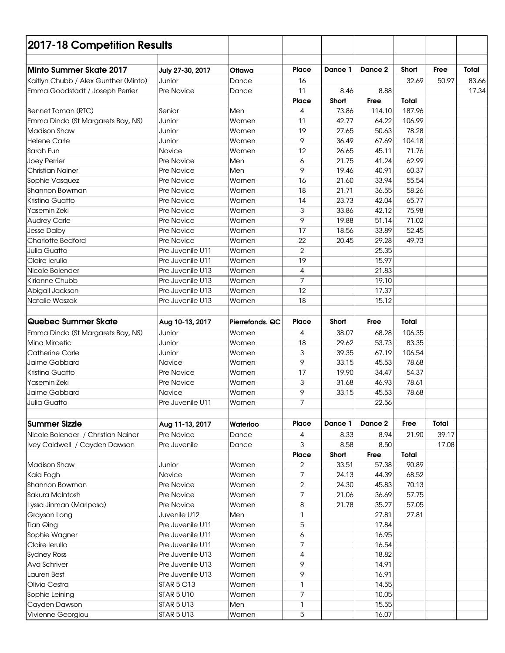| 2017-18 Competition Results             |                                      |                 |                |                |                |                |       |       |
|-----------------------------------------|--------------------------------------|-----------------|----------------|----------------|----------------|----------------|-------|-------|
|                                         |                                      |                 |                |                |                |                |       |       |
| <b>Minto Summer Skate 2017</b>          | July 27-30, 2017                     | Ottawa          | <b>Place</b>   | Dance 1        | Dance 2        | Short          | Free  | Total |
| Kaitlyn Chubb / Alex Gunther (Minto)    | Junior                               | Dance           | 16             |                |                | 32.69          | 50.97 | 83.66 |
| Emma Goodstadt / Joseph Perrier         | Pre Novice                           | Dance           | 11             | 8.46           | 8.88           |                |       | 17.34 |
|                                         |                                      |                 | <b>Place</b>   | Short          | Free           | <b>Total</b>   |       |       |
| Bennet Toman (RTC)                      | Senior                               | Men             | 4              | 73.86          | 114.10         | 187.96         |       |       |
| Emma Dinda (St Margarets Bay, NS)       | Junior                               | Women           | 11             | 42.77          | 64.22          | 106.99         |       |       |
| <b>Madison Shaw</b>                     | Junior                               | Women           | 19             | 27.65          | 50.63          | 78.28          |       |       |
| <b>Helene Carle</b>                     | Junior                               | Women           | 9              | 36.49          | 67.69          | 104.18         |       |       |
| Sarah Eun                               | Novice                               | Women           | 12             | 26.65          | 45.11          | 71.76          |       |       |
| Joey Perrier                            | Pre Novice                           | Men             | 6<br>9         | 21.75          | 41.24<br>40.91 | 62.99          |       |       |
| <b>Christian Nainer</b>                 | <b>Pre Novice</b>                    | Men             |                | 19.46          |                | 60.37          |       |       |
| Sophie Vasquez                          | <b>Pre Novice</b>                    | Women           | 16<br>18       | 21.60          | 33.94<br>36.55 | 55.54          |       |       |
| Shannon Bowman<br>Kristina Guatto       | Pre Novice<br>Pre Novice             | Women<br>Women  | 14             | 21.71<br>23.73 | 42.04          | 58.26<br>65.77 |       |       |
|                                         |                                      |                 |                |                |                |                |       |       |
| Yasemin Zeki                            | Pre Novice<br>Pre Novice             | Women<br>Women  | 3<br>9         | 33.86<br>19.88 | 42.12<br>51.14 | 75.98<br>71.02 |       |       |
| <b>Audrey Carle</b>                     | Pre Novice                           | Women           | 17             | 18.56          | 33.89          | 52.45          |       |       |
| <b>Jesse Dalby</b><br>Charlotte Bedford | Pre Novice                           | Women           | 22             | 20.45          | 29.28          | 49.73          |       |       |
| <b>Julia Guatto</b>                     | Pre Juvenile U11                     | Women           | $\overline{2}$ |                | 25.35          |                |       |       |
| Claire lerullo                          | Pre Juvenile U11                     | Women           | 19             |                | 15.97          |                |       |       |
| Nicole Bolender                         | Pre Juvenile U13                     | Women           | 4              |                | 21.83          |                |       |       |
| Kirianne Chubb                          | Pre Juvenile U13                     | Women           | $\overline{7}$ |                | 19.10          |                |       |       |
| Abigail Jackson                         | Pre Juvenile U13                     | Women           | 12             |                | 17.37          |                |       |       |
| Natalie Waszak                          | Pre Juvenile U13                     | Women           | 18             |                | 15.12          |                |       |       |
|                                         |                                      |                 |                |                |                |                |       |       |
| Quebec Summer Skate                     |                                      |                 | <b>Place</b>   | Short          | Free           | <b>Total</b>   |       |       |
|                                         | Aug 10-13, 2017                      | Pierrefonds, QC |                |                |                |                |       |       |
| Emma Dinda (St Margarets Bay, NS)       | Junior                               | Women           | 4              | 38.07          | 68.28          | 106.35         |       |       |
| <b>Mina Mircetic</b>                    | Junior                               | Women           | 18             | 29.62          | 53.73          | 83.35          |       |       |
| <b>Catherine Carle</b>                  | Junior                               | Women           | 3<br>9         | 39.35          | 67.19          | 106.54         |       |       |
| Jaime Gabbard                           | Novice                               | Women           |                | 33.15          | 45.53          | 78.68          |       |       |
| Kristina Guatto<br>Yasemin Zeki         | Pre Novice                           | Women           | 17             | 19.90<br>31.68 | 34.47          | 54.37<br>78.61 |       |       |
| Jaime Gabbard                           | Pre Novice<br>Novice                 | Women<br>Women  | 3<br>9         | 33.15          | 46.93<br>45.53 | 78.68          |       |       |
|                                         |                                      |                 | 7              |                | 22.56          |                |       |       |
| Julia Guatto                            | Pre Juvenile U11                     | Women           |                |                |                |                |       |       |
|                                         |                                      |                 |                |                |                |                |       |       |
| <b>Summer Sizzle</b>                    | Aug 11-13, 2017                      | Waterloo        | Place          | Dance 1        | Dance 2        | Free           | Total |       |
| Nicole Bolender / Christian Nainer      | Pre Novice                           | Dance           | 4              | 8.33           | 8.94           | 21.90          | 39.17 |       |
| Ivey Caldwell / Cayden Dawson           | Pre Juvenile                         | Dance           | 3              | 8.58           | 8.50           |                | 17.08 |       |
|                                         |                                      |                 | <b>Place</b>   | Short          | Free           | Total          |       |       |
| <b>Madison Shaw</b>                     | Junior                               | Women           | 2              | 33.51          | 57.38          | 90.89          |       |       |
| Kaia Fogh                               | Novice                               | Women           | 7              | 24.13          | 44.39          | 68.52          |       |       |
| Shannon Bowman<br>Sakura McIntosh       | Pre Novice                           | Women<br>Women  | $\overline{2}$ | 24.30          | 45.83          | 70.13<br>57.75 |       |       |
|                                         | Pre Novice                           |                 | 7              | 21.06          | 36.69          |                |       |       |
| Lyssa Jinman (Mariposa)                 | Pre Novice                           | Women           | 8              | 21.78          | 35.27          | 57.05          |       |       |
| Grayson Long                            | Juvenile U12                         | Men             | 1              |                | 27.81          | 27.81          |       |       |
| <b>Tian Qing</b>                        | Pre Juvenile U11                     | Women           | 5              |                | 17.84          |                |       |       |
| Sophie Wagner                           | Pre Juvenile U11                     | Women<br>Women  | 6<br>7         |                | 16.95<br>16.54 |                |       |       |
| Claire lerullo<br><b>Sydney Ross</b>    | Pre Juvenile U11<br>Pre Juvenile U13 | Women           | 4              |                | 18.82          |                |       |       |
|                                         |                                      |                 | 9              |                |                |                |       |       |
| Ava Schriver<br>Lauren Best             | Pre Juvenile U13<br>Pre Juvenile U13 | Women<br>Women  | 9              |                | 14.91<br>16.91 |                |       |       |
| Olivia Cestra                           | <b>STAR 5 O13</b>                    | Women           | 1              |                | 14.55          |                |       |       |
| Sophie Leining                          | <b>STAR 5 U10</b>                    | Women           | $\overline{7}$ |                | 10.05          |                |       |       |
| Cayden Dawson                           | <b>STAR 5 U13</b>                    | Men             | 1              |                | 15.55          |                |       |       |
| Vivienne Georgiou                       | <b>STAR 5 U13</b>                    | Women           | 5              |                | 16.07          |                |       |       |
|                                         |                                      |                 |                |                |                |                |       |       |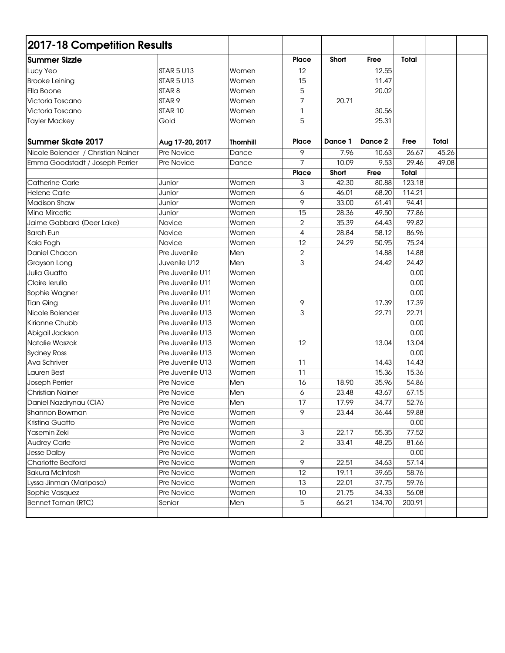| 2017-18 Competition Results        |                   |                  |                |         |         |              |       |  |
|------------------------------------|-------------------|------------------|----------------|---------|---------|--------------|-------|--|
| <b>Summer Sizzle</b>               |                   |                  | Place          | Short   | Free    | <b>Total</b> |       |  |
| Lucy Yeo                           | <b>STAR 5 U13</b> | Women            | 12             |         | 12.55   |              |       |  |
| <b>Brooke Leining</b>              | <b>STAR 5 U13</b> | Women            | 15             |         | 11.47   |              |       |  |
| Ella Boone                         | STAR <sub>8</sub> | Women            | 5              |         | 20.02   |              |       |  |
| Victoria Toscano                   | STAR <sub>9</sub> | Women            | 7              | 20.71   |         |              |       |  |
| Victoria Toscano                   | STAR 10           | Women            | 1              |         | 30.56   |              |       |  |
| <b>Tayler Mackey</b>               | Gold              | Women            | 5              |         | 25.31   |              |       |  |
| <b>Summer Skate 2017</b>           | Aug 17-20, 2017   | <b>Thornhill</b> | Place          | Dance 1 | Dance 2 | Free         | Total |  |
| Nicole Bolender / Christian Nainer | Pre Novice        | Dance            | 9              | 7.96    | 10.63   | 26.67        | 45.26 |  |
| Emma Goodstadt / Joseph Perrier    | Pre Novice        | Dance            | $\overline{7}$ | 10.09   | 9.53    | 29.46        | 49.08 |  |
|                                    |                   |                  | <b>Place</b>   | Short   | Free    | Total        |       |  |
| Catherine Carle                    | Junior            | Women            | 3              | 42.30   | 80.88   | 123.18       |       |  |
| <b>Helene Carle</b>                | Junior            | Women            | 6              | 46.01   | 68.20   | 114.21       |       |  |
| <b>Madison Shaw</b>                | Junior            | Women            | 9              | 33.00   | 61.41   | 94.41        |       |  |
| Mina Mircetic                      | Junior            | Women            | 15             | 28.36   | 49.50   | 77.86        |       |  |
| Jaime Gabbard (Deer Lake)          | Novice            | Women            | $\mathbf{2}$   | 35.39   | 64.43   | 99.82        |       |  |
| Sarah Eun                          | Novice            | Women            | 4              | 28.84   | 58.12   | 86.96        |       |  |
| Kaia Fogh                          | Novice            | Women            | 12             | 24.29   | 50.95   | 75.24        |       |  |
| Daniel Chacon                      | Pre Juvenile      | Men              | $\overline{2}$ |         | 14.88   | 14.88        |       |  |
| Grayson Long                       | Juvenile U12      | Men              | 3              |         | 24.42   | 24.42        |       |  |
| Julia Guatto                       | Pre Juvenile U11  | Women            |                |         |         | 0.00         |       |  |
| Claire lerullo                     | Pre Juvenile U11  | Women            |                |         |         | 0.00         |       |  |
| Sophie Wagner                      | Pre Juvenile U11  | Women            |                |         |         | 0.00         |       |  |
| <b>Tian Qing</b>                   | Pre Juvenile U11  | Women            | 9              |         | 17.39   | 17.39        |       |  |
| Nicole Bolender                    | Pre Juvenile U13  | Women            | 3              |         | 22.71   | 22.71        |       |  |
| Kirianne Chubb                     | Pre Juvenile U13  | Women            |                |         |         | 0.00         |       |  |
| Abigail Jackson                    | Pre Juvenile U13  | Women            |                |         |         | 0.00         |       |  |
| Natalie Waszak                     | Pre Juvenile U13  | Women            | 12             |         | 13.04   | 13.04        |       |  |
| <b>Sydney Ross</b>                 | Pre Juvenile U13  | Women            |                |         |         | 0.00         |       |  |
| Ava Schriver                       | Pre Juvenile U13  | Women            | 11             |         | 14.43   | 14.43        |       |  |
| <b>Lauren Best</b>                 | Pre Juvenile U13  | Women            | 11             |         | 15.36   | 15.36        |       |  |
| Joseph Perrier                     | Pre Novice        | Men              | 16             | 18.90   | 35.96   | 54.86        |       |  |
| <b>Christian Nainer</b>            | Pre Novice        | Men              | 6              | 23.48   | 43.67   | 67.15        |       |  |
| Daniel Nazdrynau (CIA)             | Pre Novice        | Men              | 17             | 17.99   | 34.77   | 52.76        |       |  |
| Shannon Bowman                     | Pre Novice        | Women            | 9              | 23.44   | 36.44   | 59.88        |       |  |
| Kristina Guatto                    | Pre Novice        | Women            |                |         |         | 0.00         |       |  |
| Yasemin Zeki                       | Pre Novice        | Women            | 3              | 22.17   | 55.35   | 77.52        |       |  |
| <b>Audrey Carle</b>                | Pre Novice        | Women            | $\overline{2}$ | 33.41   | 48.25   | 81.66        |       |  |
| Jesse Dalby                        | Pre Novice        | Women            |                |         |         | 0.00         |       |  |
| Charlotte Bedford                  | Pre Novice        | Women            | 9              | 22.51   | 34.63   | 57.14        |       |  |
| Sakura McIntosh                    | Pre Novice        | Women            | 12             | 19.11   | 39.65   | 58.76        |       |  |
| Lyssa Jinman (Mariposa)            | Pre Novice        | Women            | 13             | 22.01   | 37.75   | 59.76        |       |  |
| Sophie Vasquez                     | Pre Novice        | Women            | 10             | 21.75   | 34.33   | 56.08        |       |  |
| Bennet Toman (RTC)                 | Senior            | Men              | 5              | 66.21   | 134.70  | 200.91       |       |  |
|                                    |                   |                  |                |         |         |              |       |  |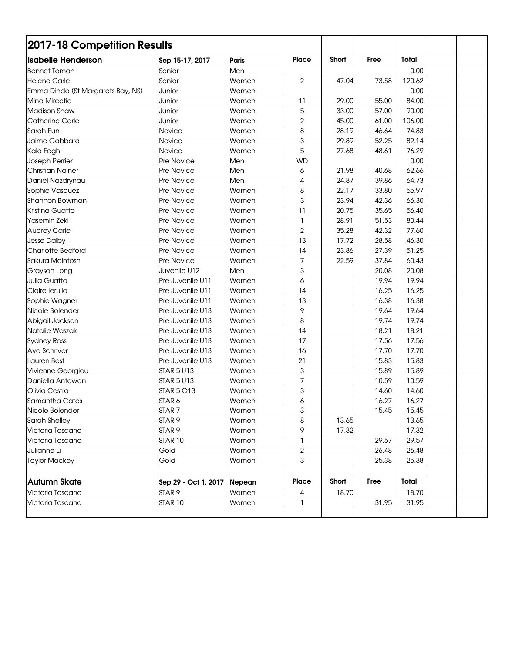| 2017-18 Competition Results       |                      |        |                |       |       |              |  |
|-----------------------------------|----------------------|--------|----------------|-------|-------|--------------|--|
| <b>Isabelle Henderson</b>         | Sep 15-17, 2017      | Paris  | Place          | Short | Free  | <b>Total</b> |  |
| <b>Bennet Toman</b>               | Senior               | Men    |                |       |       | 0.00         |  |
| <b>Helene Carle</b>               | Senior               | Women  | $\overline{2}$ | 47.04 | 73.58 | 120.62       |  |
| Emma Dinda (St Margarets Bay, NS) | Junior               | Women  |                |       |       | 0.00         |  |
| Mina Mircetic                     | Junior               | Women  | 11             | 29.00 | 55.00 | 84.00        |  |
| <b>Madison Shaw</b>               | Junior               | Women  | 5              | 33.00 | 57.00 | 90.00        |  |
| <b>Catherine Carle</b>            | Junior               | Women  | $\overline{2}$ | 45.00 | 61.00 | 106.00       |  |
| Sarah Eun                         | Novice               | Women  | 8              | 28.19 | 46.64 | 74.83        |  |
| Jaime Gabbard                     | Novice               | Women  | 3              | 29.89 | 52.25 | 82.14        |  |
| Kaia Fogh                         | Novice               | Women  | 5              | 27.68 | 48.61 | 76.29        |  |
| Joseph Perrier                    | Pre Novice           | Men    | <b>WD</b>      |       |       | 0.00         |  |
| <b>Christian Nainer</b>           | Pre Novice           | Men    | 6              | 21.98 | 40.68 | 62.66        |  |
| Daniel Nazdrynau                  | Pre Novice           | Men    | 4              | 24.87 | 39.86 | 64.73        |  |
| Sophie Vasquez                    | <b>Pre Novice</b>    | Women  | 8              | 22.17 | 33.80 | 55.97        |  |
| Shannon Bowman                    | Pre Novice           | Women  | 3              | 23.94 | 42.36 | 66.30        |  |
| <b>Kristina Guatto</b>            | <b>Pre Novice</b>    | Women  | 11             | 20.75 | 35.65 | 56.40        |  |
| Yasemin Zeki                      | Pre Novice           | Women  | $\mathbf{1}$   | 28.91 | 51.53 | 80.44        |  |
| <b>Audrey Carle</b>               | Pre Novice           | Women  | $\mathbf{2}$   | 35.28 | 42.32 | 77.60        |  |
| <b>Jesse Dalby</b>                | Pre Novice           | Women  | 13             | 17.72 | 28.58 | 46.30        |  |
| Charlotte Bedford                 | Pre Novice           | Women  | 14             | 23.86 | 27.39 | 51.25        |  |
| Sakura McIntosh                   | Pre Novice           | Women  | 7              | 22.59 | 37.84 | 60.43        |  |
| Grayson Long                      | Juvenile U12         | Men    | 3              |       | 20.08 | 20.08        |  |
| Julia Guatto                      | Pre Juvenile U11     | Women  | 6              |       | 19.94 | 19.94        |  |
| Claire lerullo                    | Pre Juvenile U11     | Women  | 14             |       | 16.25 | 16.25        |  |
| Sophie Wagner                     | Pre Juvenile U11     | Women  | 13             |       | 16.38 | 16.38        |  |
| Nicole Bolender                   | Pre Juvenile U13     | Women  | 9              |       | 19.64 | 19.64        |  |
| Abigail Jackson                   | Pre Juvenile U13     | Women  | 8              |       | 19.74 | 19.74        |  |
| Natalie Waszak                    | Pre Juvenile U13     | Women  | 14             |       | 18.21 | 18.21        |  |
| <b>Sydney Ross</b>                | Pre Juvenile U13     | Women  | 17             |       | 17.56 | 17.56        |  |
| Ava Schriver                      | Pre Juvenile U13     | Women  | 16             |       | 17.70 | 17.70        |  |
| Lauren Best                       | Pre Juvenile U13     | Women  | 21             |       | 15.83 | 15.83        |  |
| Vivienne Georgiou                 | STAR 5 U13           | Women  | 3              |       | 15.89 | 15.89        |  |
| Daniella Antowan                  | STAR 5 U13           | Women  | 7              |       | 10.59 | 10.59        |  |
| Olivia Cestra                     | <b>STAR 5 O13</b>    | Women  | 3              |       | 14.60 | 14.60        |  |
| Samantha Cates                    | STAR <sub>6</sub>    | Women  | 6              |       | 16.27 | 16.27        |  |
| Nicole Bolender                   | STAR <sub>7</sub>    | Women  | 3              |       | 15.45 | 15.45        |  |
| Sarah Shelley                     | STAR 9               | Women  | 8              | 13.65 |       | 13.65        |  |
| Victoria Toscano                  | STAR <sub>9</sub>    | Women  | 9              | 17.32 |       | 17.32        |  |
| Victoria Toscano                  | STAR 10              | Women  | 1              |       | 29.57 | 29.57        |  |
| Julianne Li                       | Gold                 | Women  | $\overline{2}$ |       | 26.48 | 26.48        |  |
| <b>Tayler Mackey</b>              | Gold                 | Women  | 3              |       | 25.38 | 25.38        |  |
|                                   |                      |        |                |       |       |              |  |
| <b>Autumn Skate</b>               | Sep 29 - Oct 1, 2017 | Nepean | Place          | Short | Free  | Total        |  |
| Victoria Toscano                  | STAR <sub>9</sub>    | Women  | $\overline{4}$ | 18.70 |       | 18.70        |  |
| Victoria Toscano                  | STAR 10              | Women  | 1              |       | 31.95 | 31.95        |  |
|                                   |                      |        |                |       |       |              |  |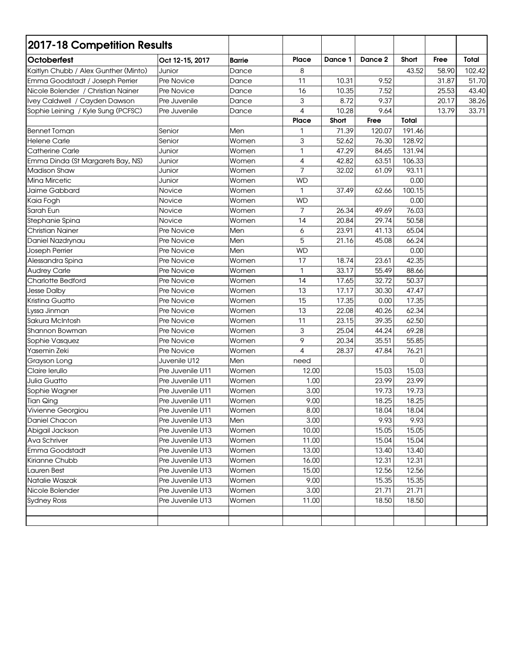| 2017-18 Competition Results          |                  |               |              |              |         |              |       |        |
|--------------------------------------|------------------|---------------|--------------|--------------|---------|--------------|-------|--------|
| <b>Octoberfest</b>                   | Oct 12-15, 2017  | <b>Barrie</b> | <b>Place</b> | Dance 1      | Dance 2 | Short        | Free  | Total  |
| Kaitlyn Chubb / Alex Gunther (Minto) | Junior           | Dance         | 8            |              |         | 43.52        | 58.90 | 102.42 |
| Emma Goodstadt / Joseph Perrier      | Pre Novice       | Dance         | 11           | 10.31        | 9.52    |              | 31.87 | 51.70  |
| Nicole Bolender / Christian Nainer   | Pre Novice       | Dance         | 16           | 10.35        | 7.52    |              | 25.53 | 43.40  |
| Ivey Caldwell / Cayden Dawson        | Pre Juvenile     | Dance         | 3            | 8.72         | 9.37    |              | 20.17 | 38.26  |
| Sophie Leining / Kyle Sung (PCFSC)   | Pre Juvenile     | Dance         | 4            | 10.28        | 9.64    |              | 13.79 | 33.71  |
|                                      |                  |               | <b>Place</b> | <b>Short</b> | Free    | <b>Total</b> |       |        |
| <b>Bennet Toman</b>                  | Senior           | Men           | 1            | 71.39        | 120.07  | 191.46       |       |        |
| <b>Helene Carle</b>                  | Senior           | Women         | 3            | 52.62        | 76.30   | 128.92       |       |        |
| <b>Catherine Carle</b>               | Junior           | Women         | 1            | 47.29        | 84.65   | 131.94       |       |        |
| Emma Dinda (St Margarets Bay, NS)    | Junior           | Women         | 4            | 42.82        | 63.51   | 106.33       |       |        |
| <b>Madison Shaw</b>                  | Junior           | Women         | 7            | 32.02        | 61.09   | 93.11        |       |        |
| <b>Mina Mircetic</b>                 | Junior           | Women         | <b>WD</b>    |              |         | 0.00         |       |        |
| Jaime Gabbard                        | Novice           | Women         | $\mathbf{1}$ | 37.49        | 62.66   | 100.15       |       |        |
| Kaia Fogh                            | Novice           | Women         | <b>WD</b>    |              |         | 0.00         |       |        |
| Sarah Eun                            | Novice           | Women         | 7            | 26.34        | 49.69   | 76.03        |       |        |
| Stephanie Spina                      | Novice           | Women         | 14           | 20.84        | 29.74   | 50.58        |       |        |
| <b>Christian Nainer</b>              | Pre Novice       | Men           | 6            | 23.91        | 41.13   | 65.04        |       |        |
| Daniel Nazdrynau                     | Pre Novice       | Men           | 5            | 21.16        | 45.08   | 66.24        |       |        |
| Joseph Perrier                       | Pre Novice       | Men           | <b>WD</b>    |              |         | 0.00         |       |        |
| Alessandra Spina                     | Pre Novice       | Women         | 17           | 18.74        | 23.61   | 42.35        |       |        |
| <b>Audrey Carle</b>                  | Pre Novice       | Women         | 1            | 33.17        | 55.49   | 88.66        |       |        |
| Charlotte Bedford                    | Pre Novice       | Women         | 14           | 17.65        | 32.72   | 50.37        |       |        |
| Jesse Dalby                          | Pre Novice       | Women         | 13           | 17.17        | 30.30   | 47.47        |       |        |
| Kristina Guatto                      | Pre Novice       | Women         | 15           | 17.35        | 0.00    | 17.35        |       |        |
| Lyssa Jinman                         | Pre Novice       | Women         | 13           | 22.08        | 40.26   | 62.34        |       |        |
| Sakura McIntosh                      | Pre Novice       | Women         | 11           | 23.15        | 39.35   | 62.50        |       |        |
| Shannon Bowman                       | Pre Novice       | Women         | 3            | 25.04        | 44.24   | 69.28        |       |        |
| Sophie Vasquez                       | Pre Novice       | Women         | 9            | 20.34        | 35.51   | 55.85        |       |        |
| Yasemin Zeki                         | Pre Novice       | Women         | 4            | 28.37        | 47.84   | 76.21        |       |        |
| Grayson Long                         | Juvenile U12     | Men           | need         |              |         | 0            |       |        |
| Claire lerullo                       | Pre Juvenile U11 | Women         | 12.00        |              | 15.03   | 15.03        |       |        |
| Julia Guatto                         | Pre Juvenile U11 | Women         | 1.00         |              | 23.99   | 23.99        |       |        |
| Sophie Wagner                        | Pre Juvenile U11 | Women         | 3.00         |              | 19.73   | 19.73        |       |        |
| <b>Tian Qing</b>                     | Pre Juvenile U11 | Women         | 9.00         |              | 18.25   | 18.25        |       |        |
| Vivienne Georgiou                    | Pre Juvenile U11 | Women         | 8.00         |              | 18.04   | 18.04        |       |        |
| Daniel Chacon                        | Pre Juvenile U13 | Men           | 3.00         |              | 9.93    | 9.93         |       |        |
| Abigail Jackson                      | Pre Juvenile U13 | Women         | 10.00        |              | 15.05   | 15.05        |       |        |
| Ava Schriver                         | Pre Juvenile U13 | Women         | 11.00        |              | 15.04   | 15.04        |       |        |
| Emma Goodstadt                       | Pre Juvenile U13 | Women         | 13.00        |              | 13.40   | 13.40        |       |        |
| Kirianne Chubb                       | Pre Juvenile U13 | Women         | 16.00        |              | 12.31   | 12.31        |       |        |
| Lauren Best                          | Pre Juvenile U13 | Women         | 15.00        |              | 12.56   | 12.56        |       |        |
| Natalie Waszak                       | Pre Juvenile U13 | Women         | 9.00         |              | 15.35   | 15.35        |       |        |
| Nicole Bolender                      | Pre Juvenile U13 | Women         | 3.00         |              | 21.71   | 21.71        |       |        |
| <b>Sydney Ross</b>                   | Pre Juvenile U13 | Women         | 11.00        |              | 18.50   | 18.50        |       |        |
|                                      |                  |               |              |              |         |              |       |        |
|                                      |                  |               |              |              |         |              |       |        |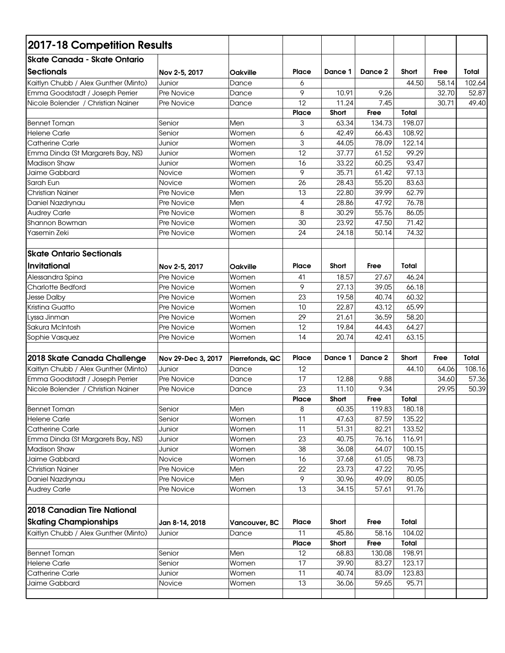| 2017-18 Competition Results          |                          |                 |              |                |                |                  |       |        |
|--------------------------------------|--------------------------|-----------------|--------------|----------------|----------------|------------------|-------|--------|
| <b>Skate Canada - Skate Ontario</b>  |                          |                 |              |                |                |                  |       |        |
| <b>Sectionals</b>                    | Nov 2-5, 2017            | <b>Oakville</b> | <b>Place</b> | Dance 1        | Dance 2        | Short            | Free  | Total  |
| Kaitlyn Chubb / Alex Gunther (Minto) | Junior                   | Dance           | 6            |                |                | 44.50            | 58.14 | 102.64 |
| Emma Goodstadt / Joseph Perrier      | Pre Novice               | Dance           | 9            | 10.91          | 9.26           |                  | 32.70 | 52.87  |
| Nicole Bolender / Christian Nainer   | Pre Novice               | Dance           | 12           | 11.24          | 7.45           |                  | 30.71 | 49.40  |
|                                      |                          |                 | Place        | Short          | Free           | Total            |       |        |
| <b>Bennet Toman</b>                  | Senior                   | Men             | 3            | 63.34          | 134.73         | 198.07           |       |        |
| <b>Helene Carle</b>                  | Senior                   | Women           | 6            | 42.49          | 66.43          | 108.92           |       |        |
| Catherine Carle                      | Junior                   | Women           | 3            | 44.05          | 78.09          | 122.14           |       |        |
| Emma Dinda (St Margarets Bay, NS)    | Junior                   | Women           | 12           | 37.77          | 61.52          | 99.29            |       |        |
| <b>Madison Shaw</b>                  | Junior                   | Women           | 16           | 33.22          | 60.25          | 93.47            |       |        |
| Jaime Gabbard                        | Novice                   | Women           | 9            | 35.71          | 61.42          | 97.13            |       |        |
| Sarah Eun                            | Novice                   | Women           | 26           | 28.43          | 55.20          | 83.63            |       |        |
| <b>Christian Nainer</b>              | Pre Novice               | Men             | 13           | 22.80          | 39.99          | 62.79            |       |        |
| Daniel Nazdrynau                     | Pre Novice               | Men             | 4            | 28.86          | 47.92          | 76.78            |       |        |
| <b>Audrey Carle</b>                  | <b>Pre Novice</b>        | Women           | 8            | 30.29          | 55.76          | 86.05            |       |        |
| Shannon Bowman                       | Pre Novice               | Women           | 30           | 23.92          | 47.50          | 71.42            |       |        |
| Yasemin Zeki                         | Pre Novice               | Women           | 24           | 24.18          | 50.14          | 74.32            |       |        |
|                                      |                          |                 |              |                |                |                  |       |        |
| lSkate Ontario Sectionals            |                          |                 |              |                |                |                  |       |        |
| Invitational                         |                          |                 | <b>Place</b> |                | Free           | Total            |       |        |
|                                      | Nov 2-5, 2017            | <b>Oakville</b> |              | Short          |                |                  |       |        |
| Alessandra Spina                     | Pre Novice               | Women           | 41           | 18.57          | 27.67          | 46.24            |       |        |
| <b>Charlotte Bedford</b>             | <b>Pre Novice</b>        | Women           | 9            | 27.13          | 39.05          | 66.18            |       |        |
| <b>Jesse Dalby</b>                   | Pre Novice               | Women           | 23           | 19.58          | 40.74          | 60.32            |       |        |
| Kristina Guatto                      | Pre Novice               | Women           | 10           | 22.87          | 43.12          | 65.99            |       |        |
| Lyssa Jinman                         | Pre Novice               | Women           | 29           | 21.61          | 36.59          | 58.20            |       |        |
| Sakura McIntosh                      | Pre Novice               | Women           | 12<br>14     | 19.84          | 44.43<br>42.41 | 64.27<br>63.15   |       |        |
| Sophie Vasquez                       | Pre Novice               | Women           |              | 20.74          |                |                  |       |        |
|                                      |                          |                 | <b>Place</b> | Dance 1        | Dance 2        | <b>Short</b>     | Free  | Total  |
| 2018 Skate Canada Challenge          | Nov 29-Dec 3, 2017       | Pierrefonds, QC |              |                |                |                  |       |        |
| Kaitlyn Chubb / Alex Gunther (Minto) | Junior                   | Dance           | 12           |                |                | 44.10            | 64.06 | 108.16 |
| Emma Goodstadt / Joseph Perrier      | Pre Novice               | Dance           | 17           | 12.88          | 9.88           |                  | 34.60 | 57.36  |
| Nicole Bolender / Christian Nainer   | Pre Novice               | Dance           | 23           | 11.10          | 9.34           |                  | 29.95 | 50.39  |
|                                      |                          |                 | Place        | Short          | Free           | <b>Total</b>     |       |        |
| <b>Bennet Toman</b>                  | Senior                   | Men             | 8            | 60.35          | 119.83         | 180.18           |       |        |
| <b>Helene Carle</b>                  | Senior                   | Women           | 11<br>11     | 47.63          | 87.59          | 135.22<br>133.52 |       |        |
| <b>Catherine Carle</b>               | Junior                   | Women           |              | 51.31          | 82.21          |                  |       |        |
| Emma Dinda (St Margarets Bay, NS)    | Junior                   | Women           | 23           | 40.75          | 76.16          | 116.91           |       |        |
| <b>Madison Shaw</b>                  | Junior                   | Women           | 38<br>16     | 36.08          | 64.07          | 100.15<br>98.73  |       |        |
| Jaime Gabbard                        | Novice                   | Women<br>Men    | 22           | 37.68<br>23.73 | 61.05<br>47.22 | 70.95            |       |        |
| <b>Christian Nainer</b>              | Pre Novice               |                 | 9            |                |                | 80.05            |       |        |
| Daniel Nazdrynau                     | Pre Novice<br>Pre Novice | Men<br>Women    | 13           | 30.96<br>34.15 | 49.09          | 91.76            |       |        |
| <b>Audrey Carle</b>                  |                          |                 |              |                | 57.61          |                  |       |        |
| 2018 Canadian Tire National          |                          |                 |              |                |                |                  |       |        |
| <b>Skating Championships</b>         | Jan 8-14, 2018           | Vancouver, BC   | Place        | Short          | Free           | Total            |       |        |
| Kaitlyn Chubb / Alex Gunther (Minto) | Junior                   | Dance           | 11           | 45.86          | 58.16          | 104.02           |       |        |
|                                      |                          |                 | <b>Place</b> | Short          | Free           | Total            |       |        |
| <b>Bennet Toman</b>                  | Senior                   | Men             | 12           | 68.83          | 130.08         | 198.91           |       |        |
| <b>Helene Carle</b>                  | Senior                   | Women           | 17           | 39.90          | 83.27          | 123.17           |       |        |
| Catherine Carle                      | Junior                   | Women           | 11           | 40.74          | 83.09          | 123.83           |       |        |
| Jaime Gabbard                        | Novice                   | Women           | 13           | 36.06          | 59.65          | 95.71            |       |        |
|                                      |                          |                 |              |                |                |                  |       |        |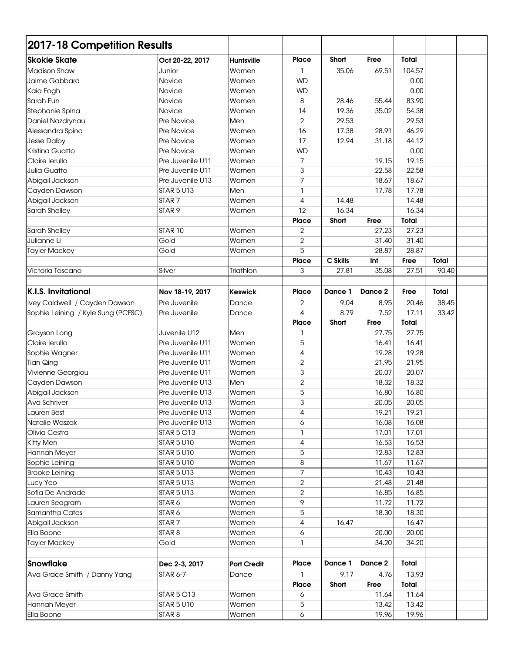| <b>Skokie Skate</b><br><b>Place</b><br>Short<br>Free<br>Total<br>Oct 20-22, 2017<br>Huntsville<br>104.57<br><b>Madison Shaw</b><br>Junior<br>35.06<br>69.51<br>Women<br>1<br>Jaime Gabbard<br>Novice<br><b>WD</b><br>0.00<br>Women<br>0.00<br>Kaia Fogh<br>Women<br><b>WD</b><br>Novice<br>83.90<br>Sarah Eun<br>8<br>28.46<br>Women<br>55.44<br>Novice<br>19.36<br>14<br>35.02<br>54.38<br>Stephanie Spina<br>Women<br>Novice<br>$\overline{2}$<br>29.53<br>29.53<br>Men<br>Daniel Nazdrynau<br>Pre Novice<br>17.38<br>28.91<br>46.29<br>16<br>Alessandra Spina<br>Women<br>Pre Novice<br>17<br>12.94<br>31.18<br>44.12<br><b>Jesse Dalby</b><br>Women<br>Pre Novice<br>Kristina Guatto<br><b>WD</b><br>0.00<br>Pre Novice<br>Women<br>$\overline{7}$<br>19.15<br>19.15<br>Claire lerullo<br>Pre Juvenile U11<br>Women<br>3<br>22.58<br>22.58<br>Julia Guatto<br>Pre Juvenile U11<br>Women<br>$\overline{7}$<br>18.67<br>18.67<br>Abigail Jackson<br>Pre Juvenile U13<br>Women<br>1<br>17.78<br><b>STAR 5 U13</b><br>17.78<br>Cayden Dawson<br>Men<br>Abigail Jackson<br>STAR <sub>7</sub><br>4<br>14.48<br>14.48<br>Women<br>12<br>STAR <sub>9</sub><br>16.34<br>16.34<br>Sarah Shelley<br>Women<br>Total<br><b>Place</b><br>Short<br>Free<br>$\overline{2}$<br>27.23<br>27.23<br>Sarah Shelley<br>STAR 10<br>Women<br>Julianne Li<br>Gold<br>$\overline{2}$<br>31.40<br>31.40<br>Women<br>5<br>28.87<br>28.87<br>Gold<br><b>Tayler Mackey</b><br>Women<br>C Skills<br><b>Place</b><br>Int<br>Free<br>Total<br>3<br>27.81<br>27.51<br>90.40<br>Victoria Toscano<br>Silver<br>Triathlon<br>35.08<br><b>K.I.S. Invitational</b><br>Dance 1<br>Dance 2<br>Total<br><b>Place</b><br>Free<br>Nov 18-19, 2017<br><b>Keswick</b><br>Ivey Caldwell / Cayden Dawson<br>Pre Juvenile<br>2<br>9.04<br>8.95<br>38.45<br>Dance<br>20.46<br>Sophie Leining / Kyle Sung (PCFSC)<br>7.52<br>Pre Juvenile<br>4<br>8.79<br>17.11<br>33.42<br>Dance<br>Free<br>Total<br><b>Place</b><br>Short<br>Juvenile U12<br>Men<br>27.75<br>27.75<br>1<br>Grayson Long<br>5<br>Claire lerullo<br>Pre Juvenile U11<br>Women<br>16.41<br>16.41<br>4<br>19.28<br>Pre Juvenile U11<br>19.28<br>Sophie Wagner<br>Women<br>$\overline{2}$<br><b>Tian Qing</b><br>Pre Juvenile U11<br>21.95<br>21.95<br>Women<br>3<br>20.07<br>20.07<br>Vivienne Georgiou<br>Pre Juvenile U11<br>Women<br>$\overline{2}$<br>Cayden Dawson<br>Men<br>18.32<br>18.32<br>Pre Juvenile U13<br>5<br>Abigail Jackson<br>16.80<br>16.80<br>Pre Juvenile U13<br>Women<br>Ava Schriver<br>3<br>20.05<br>20.05<br>Pre Juvenile U13<br>Women<br>19.21<br>4<br>19.21<br>Pre Juvenile U13<br>Women<br>Lauren Best<br>6<br>16.08<br>Pre Juvenile U13<br>Women<br>16.08<br>17.01<br>17.01<br>Olivia Cestra<br><b>STAR 5 O13</b><br>1<br>Women<br>Kitty Men<br>4<br>16.53<br>16.53<br><b>STAR 5 U10</b><br>Women<br>5<br>12.83<br>12.83<br>Hannah Meyer<br><b>STAR 5 U10</b><br>Women<br>8<br>11.67<br>Sophie Leining<br><b>STAR 5 U10</b><br>11.67<br>Women<br>7<br><b>Brooke Leining</b><br><b>STAR 5 U13</b><br>10.43<br>10.43<br>Women<br>$\overline{2}$<br>21.48<br><b>STAR 5 U13</b><br>21.48<br>Lucy Yeo<br>Women<br>2<br>16.85<br>Sofia De Andrade<br><b>STAR 5 U13</b><br>16.85<br>Women<br>9<br>STAR 6<br>11.72<br>11.72<br>Lauren Seagram<br>Women<br>5<br>18.30<br>Samantha Cates<br>STAR 6<br>18.30<br>Women<br>STAR <sub>7</sub><br>16.47<br>Abigail Jackson<br>4<br>Women<br>16.47<br>STAR <sub>8</sub><br>Ella Boone<br>20.00<br>20.00<br>Women<br>6<br><b>Tayler Mackey</b><br>Gold<br>1<br>34.20<br>34.20<br>Women<br><b>Place</b><br>Dance 1<br>Dance 2<br>Total<br><b>Snowflake</b><br>Dec 2-3, 2017<br><b>Port Credit</b><br>9.17<br>13.93<br>Ava Grace Smith / Danny Yang<br><b>STAR 6-7</b><br>1<br>4.76<br>Dance<br><b>Place</b><br>Short<br>Free<br>Total<br>Ava Grace Smith<br>STAR 5 O13<br>11.64<br>Women<br>6<br>11.64<br><b>STAR 5 U10</b><br>Hannah Meyer<br>Women<br>5<br>13.42<br>13.42<br>Ella Boone<br>STAR <sub>8</sub><br>Women<br>6<br>19.96<br>19.96 | 2017-18 Competition Results |  |  |  |  |
|--------------------------------------------------------------------------------------------------------------------------------------------------------------------------------------------------------------------------------------------------------------------------------------------------------------------------------------------------------------------------------------------------------------------------------------------------------------------------------------------------------------------------------------------------------------------------------------------------------------------------------------------------------------------------------------------------------------------------------------------------------------------------------------------------------------------------------------------------------------------------------------------------------------------------------------------------------------------------------------------------------------------------------------------------------------------------------------------------------------------------------------------------------------------------------------------------------------------------------------------------------------------------------------------------------------------------------------------------------------------------------------------------------------------------------------------------------------------------------------------------------------------------------------------------------------------------------------------------------------------------------------------------------------------------------------------------------------------------------------------------------------------------------------------------------------------------------------------------------------------------------------------------------------------------------------------------------------------------------------------------------------------------------------------------------------------------------------------------------------------------------------------------------------------------------------------------------------------------------------------------------------------------------------------------------------------------------------------------------------------------------------------------------------------------------------------------------------------------------------------------------------------------------------------------------------------------------------------------------------------------------------------------------------------------------------------------------------------------------------------------------------------------------------------------------------------------------------------------------------------------------------------------------------------------------------------------------------------------------------------------------------------------------------------------------------------------------------------------------------------------------------------------------------------------------------------------------------------------------------------------------------------------------------------------------------------------------------------------------------------------------------------------------------------------------------------------------------------------------------------------------------------------------------------------------------------------------------------------------------------------------------------------------------------------------------------------------------------------------------------------------------------------------------------------------------------------------------------------------------------------------------------------------------------------------------------------------------------------------------------------------------------------|-----------------------------|--|--|--|--|
|                                                                                                                                                                                                                                                                                                                                                                                                                                                                                                                                                                                                                                                                                                                                                                                                                                                                                                                                                                                                                                                                                                                                                                                                                                                                                                                                                                                                                                                                                                                                                                                                                                                                                                                                                                                                                                                                                                                                                                                                                                                                                                                                                                                                                                                                                                                                                                                                                                                                                                                                                                                                                                                                                                                                                                                                                                                                                                                                                                                                                                                                                                                                                                                                                                                                                                                                                                                                                                                                                                                                                                                                                                                                                                                                                                                                                                                                                                                                                                                                                          |                             |  |  |  |  |
|                                                                                                                                                                                                                                                                                                                                                                                                                                                                                                                                                                                                                                                                                                                                                                                                                                                                                                                                                                                                                                                                                                                                                                                                                                                                                                                                                                                                                                                                                                                                                                                                                                                                                                                                                                                                                                                                                                                                                                                                                                                                                                                                                                                                                                                                                                                                                                                                                                                                                                                                                                                                                                                                                                                                                                                                                                                                                                                                                                                                                                                                                                                                                                                                                                                                                                                                                                                                                                                                                                                                                                                                                                                                                                                                                                                                                                                                                                                                                                                                                          |                             |  |  |  |  |
|                                                                                                                                                                                                                                                                                                                                                                                                                                                                                                                                                                                                                                                                                                                                                                                                                                                                                                                                                                                                                                                                                                                                                                                                                                                                                                                                                                                                                                                                                                                                                                                                                                                                                                                                                                                                                                                                                                                                                                                                                                                                                                                                                                                                                                                                                                                                                                                                                                                                                                                                                                                                                                                                                                                                                                                                                                                                                                                                                                                                                                                                                                                                                                                                                                                                                                                                                                                                                                                                                                                                                                                                                                                                                                                                                                                                                                                                                                                                                                                                                          |                             |  |  |  |  |
|                                                                                                                                                                                                                                                                                                                                                                                                                                                                                                                                                                                                                                                                                                                                                                                                                                                                                                                                                                                                                                                                                                                                                                                                                                                                                                                                                                                                                                                                                                                                                                                                                                                                                                                                                                                                                                                                                                                                                                                                                                                                                                                                                                                                                                                                                                                                                                                                                                                                                                                                                                                                                                                                                                                                                                                                                                                                                                                                                                                                                                                                                                                                                                                                                                                                                                                                                                                                                                                                                                                                                                                                                                                                                                                                                                                                                                                                                                                                                                                                                          |                             |  |  |  |  |
|                                                                                                                                                                                                                                                                                                                                                                                                                                                                                                                                                                                                                                                                                                                                                                                                                                                                                                                                                                                                                                                                                                                                                                                                                                                                                                                                                                                                                                                                                                                                                                                                                                                                                                                                                                                                                                                                                                                                                                                                                                                                                                                                                                                                                                                                                                                                                                                                                                                                                                                                                                                                                                                                                                                                                                                                                                                                                                                                                                                                                                                                                                                                                                                                                                                                                                                                                                                                                                                                                                                                                                                                                                                                                                                                                                                                                                                                                                                                                                                                                          |                             |  |  |  |  |
|                                                                                                                                                                                                                                                                                                                                                                                                                                                                                                                                                                                                                                                                                                                                                                                                                                                                                                                                                                                                                                                                                                                                                                                                                                                                                                                                                                                                                                                                                                                                                                                                                                                                                                                                                                                                                                                                                                                                                                                                                                                                                                                                                                                                                                                                                                                                                                                                                                                                                                                                                                                                                                                                                                                                                                                                                                                                                                                                                                                                                                                                                                                                                                                                                                                                                                                                                                                                                                                                                                                                                                                                                                                                                                                                                                                                                                                                                                                                                                                                                          |                             |  |  |  |  |
|                                                                                                                                                                                                                                                                                                                                                                                                                                                                                                                                                                                                                                                                                                                                                                                                                                                                                                                                                                                                                                                                                                                                                                                                                                                                                                                                                                                                                                                                                                                                                                                                                                                                                                                                                                                                                                                                                                                                                                                                                                                                                                                                                                                                                                                                                                                                                                                                                                                                                                                                                                                                                                                                                                                                                                                                                                                                                                                                                                                                                                                                                                                                                                                                                                                                                                                                                                                                                                                                                                                                                                                                                                                                                                                                                                                                                                                                                                                                                                                                                          |                             |  |  |  |  |
|                                                                                                                                                                                                                                                                                                                                                                                                                                                                                                                                                                                                                                                                                                                                                                                                                                                                                                                                                                                                                                                                                                                                                                                                                                                                                                                                                                                                                                                                                                                                                                                                                                                                                                                                                                                                                                                                                                                                                                                                                                                                                                                                                                                                                                                                                                                                                                                                                                                                                                                                                                                                                                                                                                                                                                                                                                                                                                                                                                                                                                                                                                                                                                                                                                                                                                                                                                                                                                                                                                                                                                                                                                                                                                                                                                                                                                                                                                                                                                                                                          |                             |  |  |  |  |
|                                                                                                                                                                                                                                                                                                                                                                                                                                                                                                                                                                                                                                                                                                                                                                                                                                                                                                                                                                                                                                                                                                                                                                                                                                                                                                                                                                                                                                                                                                                                                                                                                                                                                                                                                                                                                                                                                                                                                                                                                                                                                                                                                                                                                                                                                                                                                                                                                                                                                                                                                                                                                                                                                                                                                                                                                                                                                                                                                                                                                                                                                                                                                                                                                                                                                                                                                                                                                                                                                                                                                                                                                                                                                                                                                                                                                                                                                                                                                                                                                          |                             |  |  |  |  |
|                                                                                                                                                                                                                                                                                                                                                                                                                                                                                                                                                                                                                                                                                                                                                                                                                                                                                                                                                                                                                                                                                                                                                                                                                                                                                                                                                                                                                                                                                                                                                                                                                                                                                                                                                                                                                                                                                                                                                                                                                                                                                                                                                                                                                                                                                                                                                                                                                                                                                                                                                                                                                                                                                                                                                                                                                                                                                                                                                                                                                                                                                                                                                                                                                                                                                                                                                                                                                                                                                                                                                                                                                                                                                                                                                                                                                                                                                                                                                                                                                          |                             |  |  |  |  |
|                                                                                                                                                                                                                                                                                                                                                                                                                                                                                                                                                                                                                                                                                                                                                                                                                                                                                                                                                                                                                                                                                                                                                                                                                                                                                                                                                                                                                                                                                                                                                                                                                                                                                                                                                                                                                                                                                                                                                                                                                                                                                                                                                                                                                                                                                                                                                                                                                                                                                                                                                                                                                                                                                                                                                                                                                                                                                                                                                                                                                                                                                                                                                                                                                                                                                                                                                                                                                                                                                                                                                                                                                                                                                                                                                                                                                                                                                                                                                                                                                          |                             |  |  |  |  |
|                                                                                                                                                                                                                                                                                                                                                                                                                                                                                                                                                                                                                                                                                                                                                                                                                                                                                                                                                                                                                                                                                                                                                                                                                                                                                                                                                                                                                                                                                                                                                                                                                                                                                                                                                                                                                                                                                                                                                                                                                                                                                                                                                                                                                                                                                                                                                                                                                                                                                                                                                                                                                                                                                                                                                                                                                                                                                                                                                                                                                                                                                                                                                                                                                                                                                                                                                                                                                                                                                                                                                                                                                                                                                                                                                                                                                                                                                                                                                                                                                          |                             |  |  |  |  |
|                                                                                                                                                                                                                                                                                                                                                                                                                                                                                                                                                                                                                                                                                                                                                                                                                                                                                                                                                                                                                                                                                                                                                                                                                                                                                                                                                                                                                                                                                                                                                                                                                                                                                                                                                                                                                                                                                                                                                                                                                                                                                                                                                                                                                                                                                                                                                                                                                                                                                                                                                                                                                                                                                                                                                                                                                                                                                                                                                                                                                                                                                                                                                                                                                                                                                                                                                                                                                                                                                                                                                                                                                                                                                                                                                                                                                                                                                                                                                                                                                          |                             |  |  |  |  |
|                                                                                                                                                                                                                                                                                                                                                                                                                                                                                                                                                                                                                                                                                                                                                                                                                                                                                                                                                                                                                                                                                                                                                                                                                                                                                                                                                                                                                                                                                                                                                                                                                                                                                                                                                                                                                                                                                                                                                                                                                                                                                                                                                                                                                                                                                                                                                                                                                                                                                                                                                                                                                                                                                                                                                                                                                                                                                                                                                                                                                                                                                                                                                                                                                                                                                                                                                                                                                                                                                                                                                                                                                                                                                                                                                                                                                                                                                                                                                                                                                          |                             |  |  |  |  |
|                                                                                                                                                                                                                                                                                                                                                                                                                                                                                                                                                                                                                                                                                                                                                                                                                                                                                                                                                                                                                                                                                                                                                                                                                                                                                                                                                                                                                                                                                                                                                                                                                                                                                                                                                                                                                                                                                                                                                                                                                                                                                                                                                                                                                                                                                                                                                                                                                                                                                                                                                                                                                                                                                                                                                                                                                                                                                                                                                                                                                                                                                                                                                                                                                                                                                                                                                                                                                                                                                                                                                                                                                                                                                                                                                                                                                                                                                                                                                                                                                          |                             |  |  |  |  |
|                                                                                                                                                                                                                                                                                                                                                                                                                                                                                                                                                                                                                                                                                                                                                                                                                                                                                                                                                                                                                                                                                                                                                                                                                                                                                                                                                                                                                                                                                                                                                                                                                                                                                                                                                                                                                                                                                                                                                                                                                                                                                                                                                                                                                                                                                                                                                                                                                                                                                                                                                                                                                                                                                                                                                                                                                                                                                                                                                                                                                                                                                                                                                                                                                                                                                                                                                                                                                                                                                                                                                                                                                                                                                                                                                                                                                                                                                                                                                                                                                          |                             |  |  |  |  |
|                                                                                                                                                                                                                                                                                                                                                                                                                                                                                                                                                                                                                                                                                                                                                                                                                                                                                                                                                                                                                                                                                                                                                                                                                                                                                                                                                                                                                                                                                                                                                                                                                                                                                                                                                                                                                                                                                                                                                                                                                                                                                                                                                                                                                                                                                                                                                                                                                                                                                                                                                                                                                                                                                                                                                                                                                                                                                                                                                                                                                                                                                                                                                                                                                                                                                                                                                                                                                                                                                                                                                                                                                                                                                                                                                                                                                                                                                                                                                                                                                          |                             |  |  |  |  |
|                                                                                                                                                                                                                                                                                                                                                                                                                                                                                                                                                                                                                                                                                                                                                                                                                                                                                                                                                                                                                                                                                                                                                                                                                                                                                                                                                                                                                                                                                                                                                                                                                                                                                                                                                                                                                                                                                                                                                                                                                                                                                                                                                                                                                                                                                                                                                                                                                                                                                                                                                                                                                                                                                                                                                                                                                                                                                                                                                                                                                                                                                                                                                                                                                                                                                                                                                                                                                                                                                                                                                                                                                                                                                                                                                                                                                                                                                                                                                                                                                          |                             |  |  |  |  |
|                                                                                                                                                                                                                                                                                                                                                                                                                                                                                                                                                                                                                                                                                                                                                                                                                                                                                                                                                                                                                                                                                                                                                                                                                                                                                                                                                                                                                                                                                                                                                                                                                                                                                                                                                                                                                                                                                                                                                                                                                                                                                                                                                                                                                                                                                                                                                                                                                                                                                                                                                                                                                                                                                                                                                                                                                                                                                                                                                                                                                                                                                                                                                                                                                                                                                                                                                                                                                                                                                                                                                                                                                                                                                                                                                                                                                                                                                                                                                                                                                          |                             |  |  |  |  |
|                                                                                                                                                                                                                                                                                                                                                                                                                                                                                                                                                                                                                                                                                                                                                                                                                                                                                                                                                                                                                                                                                                                                                                                                                                                                                                                                                                                                                                                                                                                                                                                                                                                                                                                                                                                                                                                                                                                                                                                                                                                                                                                                                                                                                                                                                                                                                                                                                                                                                                                                                                                                                                                                                                                                                                                                                                                                                                                                                                                                                                                                                                                                                                                                                                                                                                                                                                                                                                                                                                                                                                                                                                                                                                                                                                                                                                                                                                                                                                                                                          |                             |  |  |  |  |
|                                                                                                                                                                                                                                                                                                                                                                                                                                                                                                                                                                                                                                                                                                                                                                                                                                                                                                                                                                                                                                                                                                                                                                                                                                                                                                                                                                                                                                                                                                                                                                                                                                                                                                                                                                                                                                                                                                                                                                                                                                                                                                                                                                                                                                                                                                                                                                                                                                                                                                                                                                                                                                                                                                                                                                                                                                                                                                                                                                                                                                                                                                                                                                                                                                                                                                                                                                                                                                                                                                                                                                                                                                                                                                                                                                                                                                                                                                                                                                                                                          |                             |  |  |  |  |
|                                                                                                                                                                                                                                                                                                                                                                                                                                                                                                                                                                                                                                                                                                                                                                                                                                                                                                                                                                                                                                                                                                                                                                                                                                                                                                                                                                                                                                                                                                                                                                                                                                                                                                                                                                                                                                                                                                                                                                                                                                                                                                                                                                                                                                                                                                                                                                                                                                                                                                                                                                                                                                                                                                                                                                                                                                                                                                                                                                                                                                                                                                                                                                                                                                                                                                                                                                                                                                                                                                                                                                                                                                                                                                                                                                                                                                                                                                                                                                                                                          |                             |  |  |  |  |
|                                                                                                                                                                                                                                                                                                                                                                                                                                                                                                                                                                                                                                                                                                                                                                                                                                                                                                                                                                                                                                                                                                                                                                                                                                                                                                                                                                                                                                                                                                                                                                                                                                                                                                                                                                                                                                                                                                                                                                                                                                                                                                                                                                                                                                                                                                                                                                                                                                                                                                                                                                                                                                                                                                                                                                                                                                                                                                                                                                                                                                                                                                                                                                                                                                                                                                                                                                                                                                                                                                                                                                                                                                                                                                                                                                                                                                                                                                                                                                                                                          |                             |  |  |  |  |
|                                                                                                                                                                                                                                                                                                                                                                                                                                                                                                                                                                                                                                                                                                                                                                                                                                                                                                                                                                                                                                                                                                                                                                                                                                                                                                                                                                                                                                                                                                                                                                                                                                                                                                                                                                                                                                                                                                                                                                                                                                                                                                                                                                                                                                                                                                                                                                                                                                                                                                                                                                                                                                                                                                                                                                                                                                                                                                                                                                                                                                                                                                                                                                                                                                                                                                                                                                                                                                                                                                                                                                                                                                                                                                                                                                                                                                                                                                                                                                                                                          |                             |  |  |  |  |
|                                                                                                                                                                                                                                                                                                                                                                                                                                                                                                                                                                                                                                                                                                                                                                                                                                                                                                                                                                                                                                                                                                                                                                                                                                                                                                                                                                                                                                                                                                                                                                                                                                                                                                                                                                                                                                                                                                                                                                                                                                                                                                                                                                                                                                                                                                                                                                                                                                                                                                                                                                                                                                                                                                                                                                                                                                                                                                                                                                                                                                                                                                                                                                                                                                                                                                                                                                                                                                                                                                                                                                                                                                                                                                                                                                                                                                                                                                                                                                                                                          |                             |  |  |  |  |
|                                                                                                                                                                                                                                                                                                                                                                                                                                                                                                                                                                                                                                                                                                                                                                                                                                                                                                                                                                                                                                                                                                                                                                                                                                                                                                                                                                                                                                                                                                                                                                                                                                                                                                                                                                                                                                                                                                                                                                                                                                                                                                                                                                                                                                                                                                                                                                                                                                                                                                                                                                                                                                                                                                                                                                                                                                                                                                                                                                                                                                                                                                                                                                                                                                                                                                                                                                                                                                                                                                                                                                                                                                                                                                                                                                                                                                                                                                                                                                                                                          |                             |  |  |  |  |
|                                                                                                                                                                                                                                                                                                                                                                                                                                                                                                                                                                                                                                                                                                                                                                                                                                                                                                                                                                                                                                                                                                                                                                                                                                                                                                                                                                                                                                                                                                                                                                                                                                                                                                                                                                                                                                                                                                                                                                                                                                                                                                                                                                                                                                                                                                                                                                                                                                                                                                                                                                                                                                                                                                                                                                                                                                                                                                                                                                                                                                                                                                                                                                                                                                                                                                                                                                                                                                                                                                                                                                                                                                                                                                                                                                                                                                                                                                                                                                                                                          |                             |  |  |  |  |
|                                                                                                                                                                                                                                                                                                                                                                                                                                                                                                                                                                                                                                                                                                                                                                                                                                                                                                                                                                                                                                                                                                                                                                                                                                                                                                                                                                                                                                                                                                                                                                                                                                                                                                                                                                                                                                                                                                                                                                                                                                                                                                                                                                                                                                                                                                                                                                                                                                                                                                                                                                                                                                                                                                                                                                                                                                                                                                                                                                                                                                                                                                                                                                                                                                                                                                                                                                                                                                                                                                                                                                                                                                                                                                                                                                                                                                                                                                                                                                                                                          |                             |  |  |  |  |
|                                                                                                                                                                                                                                                                                                                                                                                                                                                                                                                                                                                                                                                                                                                                                                                                                                                                                                                                                                                                                                                                                                                                                                                                                                                                                                                                                                                                                                                                                                                                                                                                                                                                                                                                                                                                                                                                                                                                                                                                                                                                                                                                                                                                                                                                                                                                                                                                                                                                                                                                                                                                                                                                                                                                                                                                                                                                                                                                                                                                                                                                                                                                                                                                                                                                                                                                                                                                                                                                                                                                                                                                                                                                                                                                                                                                                                                                                                                                                                                                                          |                             |  |  |  |  |
|                                                                                                                                                                                                                                                                                                                                                                                                                                                                                                                                                                                                                                                                                                                                                                                                                                                                                                                                                                                                                                                                                                                                                                                                                                                                                                                                                                                                                                                                                                                                                                                                                                                                                                                                                                                                                                                                                                                                                                                                                                                                                                                                                                                                                                                                                                                                                                                                                                                                                                                                                                                                                                                                                                                                                                                                                                                                                                                                                                                                                                                                                                                                                                                                                                                                                                                                                                                                                                                                                                                                                                                                                                                                                                                                                                                                                                                                                                                                                                                                                          |                             |  |  |  |  |
|                                                                                                                                                                                                                                                                                                                                                                                                                                                                                                                                                                                                                                                                                                                                                                                                                                                                                                                                                                                                                                                                                                                                                                                                                                                                                                                                                                                                                                                                                                                                                                                                                                                                                                                                                                                                                                                                                                                                                                                                                                                                                                                                                                                                                                                                                                                                                                                                                                                                                                                                                                                                                                                                                                                                                                                                                                                                                                                                                                                                                                                                                                                                                                                                                                                                                                                                                                                                                                                                                                                                                                                                                                                                                                                                                                                                                                                                                                                                                                                                                          |                             |  |  |  |  |
|                                                                                                                                                                                                                                                                                                                                                                                                                                                                                                                                                                                                                                                                                                                                                                                                                                                                                                                                                                                                                                                                                                                                                                                                                                                                                                                                                                                                                                                                                                                                                                                                                                                                                                                                                                                                                                                                                                                                                                                                                                                                                                                                                                                                                                                                                                                                                                                                                                                                                                                                                                                                                                                                                                                                                                                                                                                                                                                                                                                                                                                                                                                                                                                                                                                                                                                                                                                                                                                                                                                                                                                                                                                                                                                                                                                                                                                                                                                                                                                                                          |                             |  |  |  |  |
|                                                                                                                                                                                                                                                                                                                                                                                                                                                                                                                                                                                                                                                                                                                                                                                                                                                                                                                                                                                                                                                                                                                                                                                                                                                                                                                                                                                                                                                                                                                                                                                                                                                                                                                                                                                                                                                                                                                                                                                                                                                                                                                                                                                                                                                                                                                                                                                                                                                                                                                                                                                                                                                                                                                                                                                                                                                                                                                                                                                                                                                                                                                                                                                                                                                                                                                                                                                                                                                                                                                                                                                                                                                                                                                                                                                                                                                                                                                                                                                                                          |                             |  |  |  |  |
|                                                                                                                                                                                                                                                                                                                                                                                                                                                                                                                                                                                                                                                                                                                                                                                                                                                                                                                                                                                                                                                                                                                                                                                                                                                                                                                                                                                                                                                                                                                                                                                                                                                                                                                                                                                                                                                                                                                                                                                                                                                                                                                                                                                                                                                                                                                                                                                                                                                                                                                                                                                                                                                                                                                                                                                                                                                                                                                                                                                                                                                                                                                                                                                                                                                                                                                                                                                                                                                                                                                                                                                                                                                                                                                                                                                                                                                                                                                                                                                                                          |                             |  |  |  |  |
|                                                                                                                                                                                                                                                                                                                                                                                                                                                                                                                                                                                                                                                                                                                                                                                                                                                                                                                                                                                                                                                                                                                                                                                                                                                                                                                                                                                                                                                                                                                                                                                                                                                                                                                                                                                                                                                                                                                                                                                                                                                                                                                                                                                                                                                                                                                                                                                                                                                                                                                                                                                                                                                                                                                                                                                                                                                                                                                                                                                                                                                                                                                                                                                                                                                                                                                                                                                                                                                                                                                                                                                                                                                                                                                                                                                                                                                                                                                                                                                                                          |                             |  |  |  |  |
|                                                                                                                                                                                                                                                                                                                                                                                                                                                                                                                                                                                                                                                                                                                                                                                                                                                                                                                                                                                                                                                                                                                                                                                                                                                                                                                                                                                                                                                                                                                                                                                                                                                                                                                                                                                                                                                                                                                                                                                                                                                                                                                                                                                                                                                                                                                                                                                                                                                                                                                                                                                                                                                                                                                                                                                                                                                                                                                                                                                                                                                                                                                                                                                                                                                                                                                                                                                                                                                                                                                                                                                                                                                                                                                                                                                                                                                                                                                                                                                                                          |                             |  |  |  |  |
|                                                                                                                                                                                                                                                                                                                                                                                                                                                                                                                                                                                                                                                                                                                                                                                                                                                                                                                                                                                                                                                                                                                                                                                                                                                                                                                                                                                                                                                                                                                                                                                                                                                                                                                                                                                                                                                                                                                                                                                                                                                                                                                                                                                                                                                                                                                                                                                                                                                                                                                                                                                                                                                                                                                                                                                                                                                                                                                                                                                                                                                                                                                                                                                                                                                                                                                                                                                                                                                                                                                                                                                                                                                                                                                                                                                                                                                                                                                                                                                                                          | Natalie Waszak              |  |  |  |  |
|                                                                                                                                                                                                                                                                                                                                                                                                                                                                                                                                                                                                                                                                                                                                                                                                                                                                                                                                                                                                                                                                                                                                                                                                                                                                                                                                                                                                                                                                                                                                                                                                                                                                                                                                                                                                                                                                                                                                                                                                                                                                                                                                                                                                                                                                                                                                                                                                                                                                                                                                                                                                                                                                                                                                                                                                                                                                                                                                                                                                                                                                                                                                                                                                                                                                                                                                                                                                                                                                                                                                                                                                                                                                                                                                                                                                                                                                                                                                                                                                                          |                             |  |  |  |  |
|                                                                                                                                                                                                                                                                                                                                                                                                                                                                                                                                                                                                                                                                                                                                                                                                                                                                                                                                                                                                                                                                                                                                                                                                                                                                                                                                                                                                                                                                                                                                                                                                                                                                                                                                                                                                                                                                                                                                                                                                                                                                                                                                                                                                                                                                                                                                                                                                                                                                                                                                                                                                                                                                                                                                                                                                                                                                                                                                                                                                                                                                                                                                                                                                                                                                                                                                                                                                                                                                                                                                                                                                                                                                                                                                                                                                                                                                                                                                                                                                                          |                             |  |  |  |  |
|                                                                                                                                                                                                                                                                                                                                                                                                                                                                                                                                                                                                                                                                                                                                                                                                                                                                                                                                                                                                                                                                                                                                                                                                                                                                                                                                                                                                                                                                                                                                                                                                                                                                                                                                                                                                                                                                                                                                                                                                                                                                                                                                                                                                                                                                                                                                                                                                                                                                                                                                                                                                                                                                                                                                                                                                                                                                                                                                                                                                                                                                                                                                                                                                                                                                                                                                                                                                                                                                                                                                                                                                                                                                                                                                                                                                                                                                                                                                                                                                                          |                             |  |  |  |  |
|                                                                                                                                                                                                                                                                                                                                                                                                                                                                                                                                                                                                                                                                                                                                                                                                                                                                                                                                                                                                                                                                                                                                                                                                                                                                                                                                                                                                                                                                                                                                                                                                                                                                                                                                                                                                                                                                                                                                                                                                                                                                                                                                                                                                                                                                                                                                                                                                                                                                                                                                                                                                                                                                                                                                                                                                                                                                                                                                                                                                                                                                                                                                                                                                                                                                                                                                                                                                                                                                                                                                                                                                                                                                                                                                                                                                                                                                                                                                                                                                                          |                             |  |  |  |  |
|                                                                                                                                                                                                                                                                                                                                                                                                                                                                                                                                                                                                                                                                                                                                                                                                                                                                                                                                                                                                                                                                                                                                                                                                                                                                                                                                                                                                                                                                                                                                                                                                                                                                                                                                                                                                                                                                                                                                                                                                                                                                                                                                                                                                                                                                                                                                                                                                                                                                                                                                                                                                                                                                                                                                                                                                                                                                                                                                                                                                                                                                                                                                                                                                                                                                                                                                                                                                                                                                                                                                                                                                                                                                                                                                                                                                                                                                                                                                                                                                                          |                             |  |  |  |  |
|                                                                                                                                                                                                                                                                                                                                                                                                                                                                                                                                                                                                                                                                                                                                                                                                                                                                                                                                                                                                                                                                                                                                                                                                                                                                                                                                                                                                                                                                                                                                                                                                                                                                                                                                                                                                                                                                                                                                                                                                                                                                                                                                                                                                                                                                                                                                                                                                                                                                                                                                                                                                                                                                                                                                                                                                                                                                                                                                                                                                                                                                                                                                                                                                                                                                                                                                                                                                                                                                                                                                                                                                                                                                                                                                                                                                                                                                                                                                                                                                                          |                             |  |  |  |  |
|                                                                                                                                                                                                                                                                                                                                                                                                                                                                                                                                                                                                                                                                                                                                                                                                                                                                                                                                                                                                                                                                                                                                                                                                                                                                                                                                                                                                                                                                                                                                                                                                                                                                                                                                                                                                                                                                                                                                                                                                                                                                                                                                                                                                                                                                                                                                                                                                                                                                                                                                                                                                                                                                                                                                                                                                                                                                                                                                                                                                                                                                                                                                                                                                                                                                                                                                                                                                                                                                                                                                                                                                                                                                                                                                                                                                                                                                                                                                                                                                                          |                             |  |  |  |  |
|                                                                                                                                                                                                                                                                                                                                                                                                                                                                                                                                                                                                                                                                                                                                                                                                                                                                                                                                                                                                                                                                                                                                                                                                                                                                                                                                                                                                                                                                                                                                                                                                                                                                                                                                                                                                                                                                                                                                                                                                                                                                                                                                                                                                                                                                                                                                                                                                                                                                                                                                                                                                                                                                                                                                                                                                                                                                                                                                                                                                                                                                                                                                                                                                                                                                                                                                                                                                                                                                                                                                                                                                                                                                                                                                                                                                                                                                                                                                                                                                                          |                             |  |  |  |  |
|                                                                                                                                                                                                                                                                                                                                                                                                                                                                                                                                                                                                                                                                                                                                                                                                                                                                                                                                                                                                                                                                                                                                                                                                                                                                                                                                                                                                                                                                                                                                                                                                                                                                                                                                                                                                                                                                                                                                                                                                                                                                                                                                                                                                                                                                                                                                                                                                                                                                                                                                                                                                                                                                                                                                                                                                                                                                                                                                                                                                                                                                                                                                                                                                                                                                                                                                                                                                                                                                                                                                                                                                                                                                                                                                                                                                                                                                                                                                                                                                                          |                             |  |  |  |  |
|                                                                                                                                                                                                                                                                                                                                                                                                                                                                                                                                                                                                                                                                                                                                                                                                                                                                                                                                                                                                                                                                                                                                                                                                                                                                                                                                                                                                                                                                                                                                                                                                                                                                                                                                                                                                                                                                                                                                                                                                                                                                                                                                                                                                                                                                                                                                                                                                                                                                                                                                                                                                                                                                                                                                                                                                                                                                                                                                                                                                                                                                                                                                                                                                                                                                                                                                                                                                                                                                                                                                                                                                                                                                                                                                                                                                                                                                                                                                                                                                                          |                             |  |  |  |  |
|                                                                                                                                                                                                                                                                                                                                                                                                                                                                                                                                                                                                                                                                                                                                                                                                                                                                                                                                                                                                                                                                                                                                                                                                                                                                                                                                                                                                                                                                                                                                                                                                                                                                                                                                                                                                                                                                                                                                                                                                                                                                                                                                                                                                                                                                                                                                                                                                                                                                                                                                                                                                                                                                                                                                                                                                                                                                                                                                                                                                                                                                                                                                                                                                                                                                                                                                                                                                                                                                                                                                                                                                                                                                                                                                                                                                                                                                                                                                                                                                                          |                             |  |  |  |  |
|                                                                                                                                                                                                                                                                                                                                                                                                                                                                                                                                                                                                                                                                                                                                                                                                                                                                                                                                                                                                                                                                                                                                                                                                                                                                                                                                                                                                                                                                                                                                                                                                                                                                                                                                                                                                                                                                                                                                                                                                                                                                                                                                                                                                                                                                                                                                                                                                                                                                                                                                                                                                                                                                                                                                                                                                                                                                                                                                                                                                                                                                                                                                                                                                                                                                                                                                                                                                                                                                                                                                                                                                                                                                                                                                                                                                                                                                                                                                                                                                                          |                             |  |  |  |  |
|                                                                                                                                                                                                                                                                                                                                                                                                                                                                                                                                                                                                                                                                                                                                                                                                                                                                                                                                                                                                                                                                                                                                                                                                                                                                                                                                                                                                                                                                                                                                                                                                                                                                                                                                                                                                                                                                                                                                                                                                                                                                                                                                                                                                                                                                                                                                                                                                                                                                                                                                                                                                                                                                                                                                                                                                                                                                                                                                                                                                                                                                                                                                                                                                                                                                                                                                                                                                                                                                                                                                                                                                                                                                                                                                                                                                                                                                                                                                                                                                                          |                             |  |  |  |  |
|                                                                                                                                                                                                                                                                                                                                                                                                                                                                                                                                                                                                                                                                                                                                                                                                                                                                                                                                                                                                                                                                                                                                                                                                                                                                                                                                                                                                                                                                                                                                                                                                                                                                                                                                                                                                                                                                                                                                                                                                                                                                                                                                                                                                                                                                                                                                                                                                                                                                                                                                                                                                                                                                                                                                                                                                                                                                                                                                                                                                                                                                                                                                                                                                                                                                                                                                                                                                                                                                                                                                                                                                                                                                                                                                                                                                                                                                                                                                                                                                                          |                             |  |  |  |  |
|                                                                                                                                                                                                                                                                                                                                                                                                                                                                                                                                                                                                                                                                                                                                                                                                                                                                                                                                                                                                                                                                                                                                                                                                                                                                                                                                                                                                                                                                                                                                                                                                                                                                                                                                                                                                                                                                                                                                                                                                                                                                                                                                                                                                                                                                                                                                                                                                                                                                                                                                                                                                                                                                                                                                                                                                                                                                                                                                                                                                                                                                                                                                                                                                                                                                                                                                                                                                                                                                                                                                                                                                                                                                                                                                                                                                                                                                                                                                                                                                                          |                             |  |  |  |  |
|                                                                                                                                                                                                                                                                                                                                                                                                                                                                                                                                                                                                                                                                                                                                                                                                                                                                                                                                                                                                                                                                                                                                                                                                                                                                                                                                                                                                                                                                                                                                                                                                                                                                                                                                                                                                                                                                                                                                                                                                                                                                                                                                                                                                                                                                                                                                                                                                                                                                                                                                                                                                                                                                                                                                                                                                                                                                                                                                                                                                                                                                                                                                                                                                                                                                                                                                                                                                                                                                                                                                                                                                                                                                                                                                                                                                                                                                                                                                                                                                                          |                             |  |  |  |  |
|                                                                                                                                                                                                                                                                                                                                                                                                                                                                                                                                                                                                                                                                                                                                                                                                                                                                                                                                                                                                                                                                                                                                                                                                                                                                                                                                                                                                                                                                                                                                                                                                                                                                                                                                                                                                                                                                                                                                                                                                                                                                                                                                                                                                                                                                                                                                                                                                                                                                                                                                                                                                                                                                                                                                                                                                                                                                                                                                                                                                                                                                                                                                                                                                                                                                                                                                                                                                                                                                                                                                                                                                                                                                                                                                                                                                                                                                                                                                                                                                                          |                             |  |  |  |  |
|                                                                                                                                                                                                                                                                                                                                                                                                                                                                                                                                                                                                                                                                                                                                                                                                                                                                                                                                                                                                                                                                                                                                                                                                                                                                                                                                                                                                                                                                                                                                                                                                                                                                                                                                                                                                                                                                                                                                                                                                                                                                                                                                                                                                                                                                                                                                                                                                                                                                                                                                                                                                                                                                                                                                                                                                                                                                                                                                                                                                                                                                                                                                                                                                                                                                                                                                                                                                                                                                                                                                                                                                                                                                                                                                                                                                                                                                                                                                                                                                                          |                             |  |  |  |  |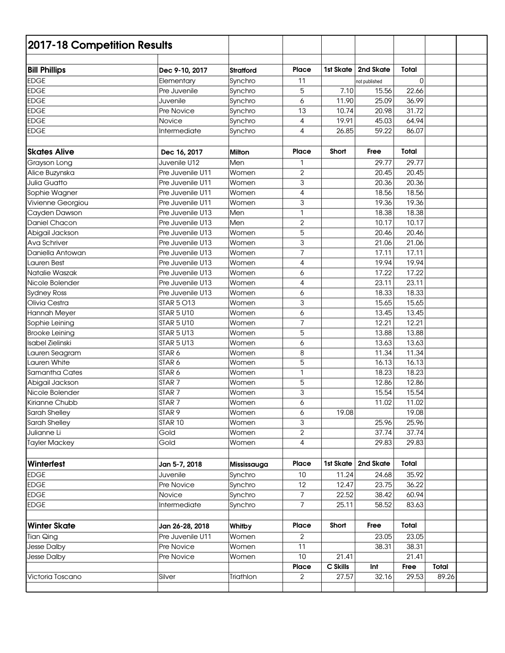| 2017-18 Competition Results |                   |                  |                |           |               |              |              |  |
|-----------------------------|-------------------|------------------|----------------|-----------|---------------|--------------|--------------|--|
| <b>Bill Phillips</b>        | Dec 9-10, 2017    | <b>Stratford</b> | <b>Place</b>   | 1st Skate | 2nd Skate     | Total        |              |  |
| <b>EDGE</b>                 | Elementary        | Synchro          | 11             |           | not published | $\Omega$     |              |  |
| <b>EDGE</b>                 | Pre Juvenile      | Synchro          | 5              | 7.10      | 15.56         | 22.66        |              |  |
| <b>EDGE</b>                 | Juvenile          | Synchro          | 6              | 11.90     | 25.09         | 36.99        |              |  |
| <b>EDGE</b>                 | Pre Novice        | Synchro          | 13             | 10.74     | 20.98         | 31.72        |              |  |
| <b>EDGE</b>                 | Novice            | Synchro          | 4              | 19.91     | 45.03         | 64.94        |              |  |
| <b>EDGE</b>                 | Intermediate      | Synchro          | 4              | 26.85     | 59.22         | 86.07        |              |  |
| <b>Skates Alive</b>         | Dec 16, 2017      | <b>Milton</b>    | <b>Place</b>   | Short     | Free          | <b>Total</b> |              |  |
| Grayson Long                | Juvenile U12      | Men              | 1              |           | 29.77         | 29.77        |              |  |
| Alice Buzynska              | Pre Juvenile U11  | Women            | $\overline{2}$ |           | 20.45         | 20.45        |              |  |
| Julia Guatto                | Pre Juvenile U11  | Women            | 3              |           | 20.36         | 20.36        |              |  |
| Sophie Wagner               | Pre Juvenile U11  | Women            | 4              |           | 18.56         | 18.56        |              |  |
| Vivienne Georgiou           | Pre Juvenile U11  | Women            | 3              |           | 19.36         | 19.36        |              |  |
| Cayden Dawson               | Pre Juvenile U13  | Men              | 1              |           | 18.38         | 18.38        |              |  |
| Daniel Chacon               | Pre Juvenile U13  | Men              | $\mathbf{2}$   |           | 10.17         | 10.17        |              |  |
| Abigail Jackson             | Pre Juvenile U13  | Women            | 5              |           | 20.46         | 20.46        |              |  |
| Ava Schriver                | Pre Juvenile U13  | Women            | 3              |           | 21.06         | 21.06        |              |  |
| Daniella Antowan            | Pre Juvenile U13  | Women            | 7              |           | 17.11         | 17.11        |              |  |
| Lauren Best                 | Pre Juvenile U13  | Women            | 4              |           | 19.94         | 19.94        |              |  |
| Natalie Waszak              | Pre Juvenile U13  | Women            | 6              |           | 17.22         | 17.22        |              |  |
| Nicole Bolender             | Pre Juvenile U13  | Women            | 4              |           | 23.11         | 23.11        |              |  |
| <b>Sydney Ross</b>          | Pre Juvenile U13  | Women            | 6              |           | 18.33         | 18.33        |              |  |
| Olivia Cestra               | <b>STAR 5 O13</b> | Women            | 3              |           | 15.65         | 15.65        |              |  |
| Hannah Meyer                | <b>STAR 5 U10</b> | Women            | 6              |           | 13.45         | 13.45        |              |  |
| Sophie Leining              | <b>STAR 5 U10</b> | Women            | 7              |           | 12.21         | 12.21        |              |  |
| <b>Brooke Leining</b>       | <b>STAR 5 U13</b> | Women            | 5              |           | 13.88         | 13.88        |              |  |
| Isabel Zielinski            | <b>STAR 5 U13</b> | Women            | 6              |           | 13.63         | 13.63        |              |  |
| Lauren Seagram              | STAR 6            | Women            | 8              |           | 11.34         | 11.34        |              |  |
| Lauren White                | STAR 6            | Women            | 5              |           | 16.13         | 16.13        |              |  |
| Samantha Cates              | STAR 6            | Women            | 1              |           | 18.23         | 18.23        |              |  |
| Abigail Jackson             | STAR <sub>7</sub> | Women            | 5              |           | 12.86         | 12.86        |              |  |
| Nicole Bolender             | STAR <sub>7</sub> | Women            | 3              |           | 15.54         | 15.54        |              |  |
| Kirianne Chubb              | STAR <sub>7</sub> | Women            | 6              |           | 11.02         | 11.02        |              |  |
| Sarah Shelley               | STAR <sub>9</sub> | Women            | 6              | 19.08     |               | 19.08        |              |  |
| Sarah Shelley               | STAR 10           | Women            | 3              |           | 25.96         | 25.96        |              |  |
| Julianne Li                 | Gold              | Women            | $\overline{2}$ |           | 37.74         | 37.74        |              |  |
| <b>Tayler Mackey</b>        | Gold              | Women            | 4              |           | 29.83         | 29.83        |              |  |
| Winterfest                  | Jan 5-7, 2018     | Mississauga      | Place          | 1st Skate | 2nd Skate     | Total        |              |  |
| <b>EDGE</b>                 | Juvenile          | Synchro          | 10             | 11.24     | 24.68         | 35.92        |              |  |
| <b>EDGE</b>                 | Pre Novice        | Synchro          | 12             | 12.47     | 23.75         | 36.22        |              |  |
| <b>EDGE</b>                 | Novice            | Synchro          | $\overline{7}$ | 22.52     | 38.42         | 60.94        |              |  |
| <b>EDGE</b>                 | Intermediate      | Synchro          | $\overline{7}$ | 25.11     | 58.52         | 83.63        |              |  |
|                             |                   |                  |                |           |               |              |              |  |
| <b>Winter Skate</b>         | Jan 26-28, 2018   | Whitby           | Place          | Short     | Free          | Total        |              |  |
| <b>Tian Qing</b>            | Pre Juvenile U11  | Women            | $\overline{2}$ |           | 23.05         | 23.05        |              |  |
| Jesse Dalby                 | Pre Novice        | Women            | 11             |           | 38.31         | 38.31        |              |  |
| Jesse Dalby                 | Pre Novice        | Women            | 10             | 21.41     |               | 21.41        |              |  |
|                             |                   |                  | Place          | C Skills  | Int           | Free         | <b>Total</b> |  |
| Victoria Toscano            | Silver            | Triathlon        | $\overline{2}$ | 27.57     | 32.16         | 29.53        | 89.26        |  |
|                             |                   |                  |                |           |               |              |              |  |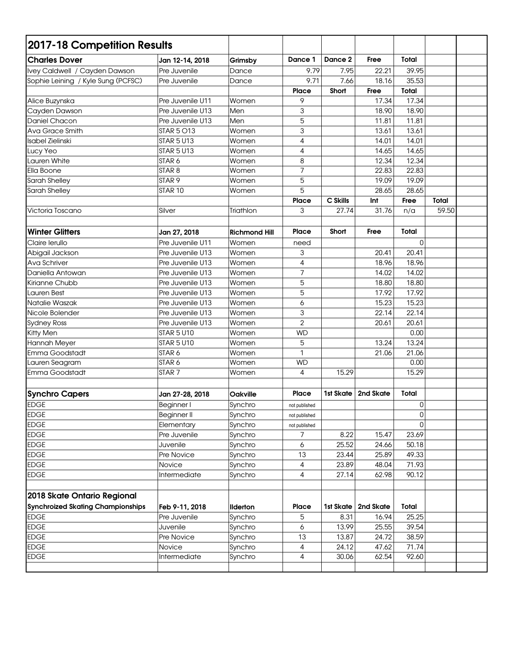| 2017-18 Competition Results              |                    |                      |                |           |           |                  |       |  |
|------------------------------------------|--------------------|----------------------|----------------|-----------|-----------|------------------|-------|--|
| <b>Charles Dover</b>                     | Jan 12-14, 2018    | Grimsby              | Dance 1        | Dance 2   | Free      | Total            |       |  |
| Ivey Caldwell / Cayden Dawson            | Pre Juvenile       | Dance                | 9.79           | 7.95      | 22.21     | 39.95            |       |  |
| Sophie Leining / Kyle Sung (PCFSC)       | Pre Juvenile       | Dance                | 9.71           | 7.66      | 18.16     | 35.53            |       |  |
|                                          |                    |                      | Place          | Short     | Free      | Total            |       |  |
| Alice Buzynska                           | Pre Juvenile U11   | Women                | 9              |           | 17.34     | 17.34            |       |  |
| Cayden Dawson                            | Pre Juvenile U13   | Men                  | 3              |           | 18.90     | 18.90            |       |  |
| Daniel Chacon                            | Pre Juvenile U13   | Men                  | 5              |           | 11.81     | 11.81            |       |  |
| Ava Grace Smith                          | <b>STAR 5 O13</b>  | Women                | 3              |           | 13.61     | 13.61            |       |  |
| <b>Isabel Zielinski</b>                  | <b>STAR 5 U13</b>  | Women                | 4              |           | 14.01     | 14.01            |       |  |
| Lucy Yeo                                 | <b>STAR 5 U13</b>  | Women                | 4              |           | 14.65     | 14.65            |       |  |
| Lauren White                             | STAR 6             | Women                | 8              |           | 12.34     | 12.34            |       |  |
| Ella Boone                               | STAR <sub>8</sub>  | Women                | 7              |           | 22.83     | 22.83            |       |  |
| Sarah Shelley                            | STAR <sub>9</sub>  | Women                | 5              |           | 19.09     | 19.09            |       |  |
| Sarah Shelley                            | STAR 10            | Women                | 5              |           | 28.65     | 28.65            |       |  |
|                                          |                    |                      | <b>Place</b>   | C Skills  | Int       | Free             | Total |  |
| Victoria Toscano                         | Silver             | Triathlon            | 3              | 27.74     | 31.76     | n/a              | 59.50 |  |
|                                          |                    |                      |                |           |           |                  |       |  |
| <b>Winter Glitters</b>                   | Jan 27, 2018       | <b>Richmond Hill</b> | Place          | Short     | Free      | <b>Total</b>     |       |  |
| Claire Ierullo                           | Pre Juvenile U11   | Women                | need           |           |           | 0                |       |  |
| Abigail Jackson                          | Pre Juvenile U13   | Women                | 3              |           | 20.41     | 20.41            |       |  |
| Ava Schriver                             | Pre Juvenile U13   | Women                | 4              |           | 18.96     | 18.96            |       |  |
| Daniella Antowan                         | Pre Juvenile U13   | Women                | 7              |           | 14.02     | 14.02            |       |  |
| Kirianne Chubb                           | Pre Juvenile U13   | Women                | 5              |           | 18.80     | 18.80            |       |  |
| Lauren Best                              | Pre Juvenile U13   | Women                | 5              |           | 17.92     | 17.92            |       |  |
| Natalie Waszak                           | Pre Juvenile U13   | Women                | 6              |           | 15.23     | 15.23            |       |  |
| Nicole Bolender                          | Pre Juvenile U13   | Women                | 3              |           | 22.14     | 22.14            |       |  |
| <b>Sydney Ross</b>                       | Pre Juvenile U13   | Women                | $\overline{2}$ |           | 20.61     | 20.61            |       |  |
| Kitty Men                                | <b>STAR 5 U10</b>  | Women                | <b>WD</b>      |           |           | 0.00             |       |  |
| Hannah Meyer                             | <b>STAR 5 U10</b>  | Women                | 5              |           | 13.24     | 13.24            |       |  |
| Emma Goodstadt                           | STAR 6             | Women                | 1              |           | 21.06     | 21.06            |       |  |
| Lauren Seagram                           | STAR 6             | Women                | <b>WD</b>      |           |           | 0.00             |       |  |
| Emma Goodstadt                           | STAR <sub>7</sub>  | Women                | 4              | 15.29     |           | 15.29            |       |  |
|                                          |                    |                      |                |           |           |                  |       |  |
| <b>Synchro Capers</b>                    | Jan 27-28, 2018    | <b>Oakville</b>      | <b>Place</b>   | 1st Skate | 2nd Skate | Total            |       |  |
| <b>EDGE</b>                              | Beginner I         | Synchro              | not published  |           |           | $\boldsymbol{0}$ |       |  |
| <b>EDGE</b>                              | <b>Beginner II</b> | Synchro              | not published  |           |           | 0                |       |  |
| <b>EDGE</b>                              | Elementary         | Synchro              | not published  |           |           | $\Omega$         |       |  |
| <b>EDGE</b>                              | Pre Juvenile       | Synchro              | 7              | 8.22      | 15.47     | 23.69            |       |  |
| <b>EDGE</b>                              | Juvenile           | Synchro              | 6              | 25.52     | 24.66     | 50.18            |       |  |
| <b>EDGE</b>                              | Pre Novice         | Synchro              | 13             | 23.44     | 25.89     | 49.33            |       |  |
| <b>EDGE</b>                              | Novice             | Synchro              | 4              | 23.89     | 48.04     | 71.93            |       |  |
| <b>EDGE</b>                              | Intermediate       | Synchro              | 4              | 27.14     | 62.98     | 90.12            |       |  |
| 2018 Skate Ontario Regional              |                    |                      |                |           |           |                  |       |  |
| <b>Synchroized Skating Championships</b> | Feb 9-11, 2018     | <b>Ilderton</b>      | Place          | 1st Skate | 2nd Skate | Total            |       |  |
| <b>EDGE</b>                              | Pre Juvenile       | Synchro              | 5              | 8.31      | 16.94     | 25.25            |       |  |
| <b>EDGE</b>                              | Juvenile           | Synchro              | 6              | 13.99     | 25.55     | 39.54            |       |  |
| <b>EDGE</b>                              | Pre Novice         | Synchro              | 13             | 13.87     | 24.72     | 38.59            |       |  |
| <b>EDGE</b>                              | Novice             | Synchro              | 4              | 24.12     | 47.62     | 71.74            |       |  |
| <b>EDGE</b>                              | Intermediate       | Synchro              | 4              | 30.06     | 62.54     | 92.60            |       |  |
|                                          |                    |                      |                |           |           |                  |       |  |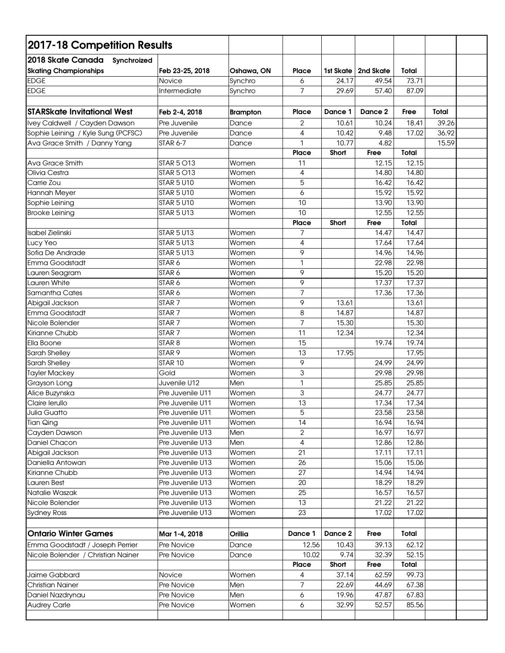| 2017-18 Competition Results                                      |                   |                 |                |         |                       |       |       |  |
|------------------------------------------------------------------|-------------------|-----------------|----------------|---------|-----------------------|-------|-------|--|
| 2018 Skate Canada<br>Synchroized<br><b>Skating Championships</b> | Feb 23-25, 2018   | Oshawa, ON      | <b>Place</b>   |         | 1st Skate   2nd Skate | Total |       |  |
| <b>EDGE</b>                                                      | Novice            | Synchro         | 6              | 24.17   | 49.54                 | 73.71 |       |  |
| <b>EDGE</b>                                                      | Intermediate      | Synchro         | $\overline{7}$ | 29.69   | 57.40                 | 87.09 |       |  |
|                                                                  |                   |                 |                |         |                       |       |       |  |
| <b>STARSkate Invitational West</b>                               | Feb 2-4, 2018     | <b>Brampton</b> | <b>Place</b>   | Dance 1 | Dance 2               | Free  | Total |  |
| Ivey Caldwell / Cayden Dawson                                    | Pre Juvenile      | Dance           | $\overline{2}$ | 10.61   | 10.24                 | 18.41 | 39.26 |  |
| Sophie Leining / Kyle Sung (PCFSC)                               | Pre Juvenile      | Dance           | 4              | 10.42   | 9.48                  | 17.02 | 36.92 |  |
| Ava Grace Smith / Danny Yang                                     | <b>STAR 6-7</b>   | Dance           | 1              | 10.77   | 4.82                  |       | 15.59 |  |
|                                                                  |                   |                 | <b>Place</b>   | Short   | Free                  | Total |       |  |
| Ava Grace Smith                                                  | <b>STAR 5 O13</b> | Women           | 11             |         | 12.15                 | 12.15 |       |  |
| Olivia Cestra                                                    | <b>STAR 5 O13</b> | Women           | 4              |         | 14.80                 | 14.80 |       |  |
| Carrie Zou                                                       | <b>STAR 5 U10</b> | Women           | 5              |         | 16.42                 | 16.42 |       |  |
| Hannah Meyer                                                     | <b>STAR 5 U10</b> | Women           | 6              |         | 15.92                 | 15.92 |       |  |
| Sophie Leining                                                   | <b>STAR 5 U10</b> | Women           | 10             |         | 13.90                 | 13.90 |       |  |
| <b>Brooke Leining</b>                                            | <b>STAR 5 U13</b> | Women           | 10             |         | 12.55                 | 12.55 |       |  |
|                                                                  |                   |                 | Place          | Short   | Free                  | Total |       |  |
| Isabel Zielinski                                                 | <b>STAR 5 U13</b> | Women           | 7              |         | 14.47                 | 14.47 |       |  |
| Lucy Yeo                                                         | <b>STAR 5 U13</b> | Women           | 4              |         | 17.64                 | 17.64 |       |  |
| Sofia De Andrade                                                 | <b>STAR 5 U13</b> | Women           | 9              |         | 14.96                 | 14.96 |       |  |
| Emma Goodstadt                                                   | STAR6             | Women           | $\mathbf{1}$   |         | 22.98                 | 22.98 |       |  |
| Lauren Seagram                                                   | STAR <sub>6</sub> | Women           | 9              |         | 15.20                 | 15.20 |       |  |
| Lauren White                                                     | STAR6             | Women           | 9              |         | 17.37                 | 17.37 |       |  |
| Samantha Cates                                                   | STAR6             | Women           | $\overline{7}$ |         | 17.36                 | 17.36 |       |  |
| Abigail Jackson                                                  | STAR <sub>7</sub> | Women           | 9              | 13.61   |                       | 13.61 |       |  |
| Emma Goodstadt                                                   | STAR <sub>7</sub> | Women           | 8              | 14.87   |                       | 14.87 |       |  |
| Nicole Bolender                                                  | STAR <sub>7</sub> | Women           | 7              | 15.30   |                       | 15.30 |       |  |
| Kirianne Chubb                                                   | STAR <sub>7</sub> | Women           | 11             | 12.34   |                       | 12.34 |       |  |
| Ella Boone                                                       | STAR <sub>8</sub> | Women           | 15             |         | 19.74                 | 19.74 |       |  |
| Sarah Shelley                                                    | STAR <sub>9</sub> | Women           | 13             | 17.95   |                       | 17.95 |       |  |
| Sarah Shelley                                                    | STAR 10           | Women           | 9              |         | 24.99                 | 24.99 |       |  |
| <b>Tayler Mackey</b>                                             | Gold              | Women           | 3              |         | 29.98                 | 29.98 |       |  |
| Grayson Long                                                     | Juvenile U12      | Men             | 1              |         | 25.85                 | 25.85 |       |  |
| Alice Buzynska                                                   | Pre Juvenile U11  | Women           | 3              |         | 24.77                 | 24.77 |       |  |
| Claire lerullo                                                   | Pre Juvenile U11  | Women           | 13             |         | 17.34                 | 17.34 |       |  |
| <b>Julia Guatto</b>                                              | Pre Juvenile U11  | Women           | 5              |         | 23.58                 | 23.58 |       |  |
| <b>Tian Qing</b>                                                 | Pre Juvenile U11  | Women           | 14             |         | 16.94                 | 16.94 |       |  |
| Cayden Dawson                                                    | Pre Juvenile U13  | Men             | $\overline{2}$ |         | 16.97                 | 16.97 |       |  |
| Daniel Chacon                                                    | Pre Juvenile U13  | Men             | 4              |         | 12.86                 | 12.86 |       |  |
| Abigail Jackson                                                  | Pre Juvenile U13  | Women           | 21             |         | 17.11                 | 17.11 |       |  |
| Daniella Antowan                                                 | Pre Juvenile U13  | Women           | 26             |         | 15.06                 | 15.06 |       |  |
| Kirianne Chubb                                                   | Pre Juvenile U13  | Women           | 27             |         | 14.94                 | 14.94 |       |  |
| Lauren Best                                                      | Pre Juvenile U13  | Women           | 20             |         | 18.29                 | 18.29 |       |  |
| Natalie Waszak                                                   | Pre Juvenile U13  | Women           | 25             |         | 16.57                 | 16.57 |       |  |
| Nicole Bolender                                                  | Pre Juvenile U13  | Women           | 13             |         | 21.22                 | 21.22 |       |  |
| <b>Sydney Ross</b>                                               | Pre Juvenile U13  | Women           | 23             |         | 17.02                 | 17.02 |       |  |
| <b>Ontario Winter Games</b>                                      | Mar 1-4, 2018     | Orillia         | Dance 1        | Dance 2 | Free                  | Total |       |  |
| Emma Goodstadt / Joseph Perrier                                  | Pre Novice        | Dance           | 12.56          | 10.43   | 39.13                 | 62.12 |       |  |
| Nicole Bolender / Christian Nainer                               | Pre Novice        | Dance           | 10.02          | 9.74    | 32.39                 | 52.15 |       |  |
|                                                                  |                   |                 | Place          | Short   | Free                  | Total |       |  |
| Jaime Gabbard                                                    | Novice            | Women           | 4              | 37.14   | 62.59                 | 99.73 |       |  |
| <b>Christian Nainer</b>                                          | Pre Novice        | Men             | 7              | 22.69   | 44.69                 | 67.38 |       |  |
| Daniel Nazdrynau                                                 | Pre Novice        | Men             | 6              | 19.96   | 47.87                 | 67.83 |       |  |
| <b>Audrey Carle</b>                                              | Pre Novice        | Women           | 6              | 32.99   | 52.57                 | 85.56 |       |  |
|                                                                  |                   |                 |                |         |                       |       |       |  |